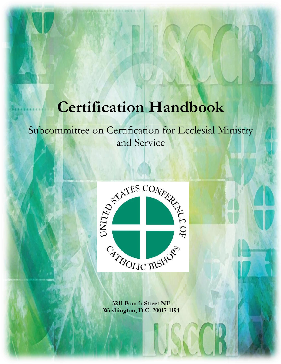# **Certification Handbook**

## Subcommittee on Certification for Ecclesial Ministry and Service



**3211 Fourth Street NE Washington, D.C. 20017-1194**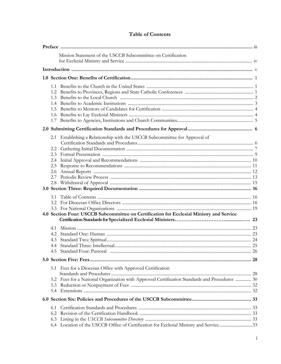## **Table of Contents**

|     | Mission Statement of the USCCB Subcommittee on Certification                                                                                                                   |  |
|-----|--------------------------------------------------------------------------------------------------------------------------------------------------------------------------------|--|
|     |                                                                                                                                                                                |  |
|     |                                                                                                                                                                                |  |
|     | $1.5^{\circ}$                                                                                                                                                                  |  |
|     |                                                                                                                                                                                |  |
|     | 2.1 Establishing a Relationship with the USCCB Subcommittee for Approval of<br>2.5<br>4.0 Section Four: USCCB Subcommittee on Certification for Ecclesial Ministry and Service |  |
|     | 4.3                                                                                                                                                                            |  |
|     |                                                                                                                                                                                |  |
|     | 5.1 Fees for a Diocesan Office with Approved Certification<br>5.2 Fees for a National Organization with Approved Certification Standards and Procedures  30<br>5.3<br>5.4      |  |
|     |                                                                                                                                                                                |  |
| 6.1 | 6.2<br>6.3<br>Location of the USCCB Office of Certification for Ecclesial Ministry and Service33<br>6.4                                                                        |  |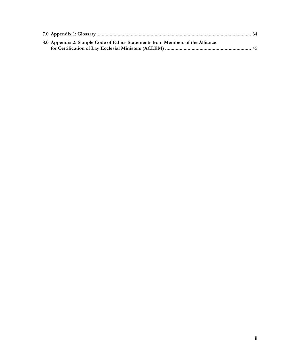| 8.0 Appendix 2: Sample Code of Ethics Statements from Members of the Alliance |  |
|-------------------------------------------------------------------------------|--|
|                                                                               |  |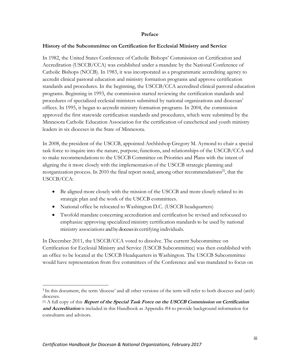#### **Preface**

#### **History of the Subcommittee on Certification for Ecclesial Ministry and Service**

In 1982, the United States Conference of Catholic Bishops' Commission on Certification and Accreditation (USCCB/CCA) was established under a mandate by the National Conference of Catholic Bishops (NCCB). In 1983, it was incorporated as a programmatic accrediting agency to accredit clinical pastoral education and ministry formation programs and approve certification standards and procedures. In the beginning, the USCCB/CCA accredited clinical pastoral education programs. Beginning in 1993, the commission started reviewing the certification standards and procedures of specialized ecclesial ministers submitted by national organizations and diocesan<sup>1</sup> offices. In 1995, it began to accredit ministry formation programs. In 2004, the commission approved the first statewide certification standards and procedures, which were submitted by the Minnesota Catholic Education Association for the certification of catechetical and youth ministry leaders in six dioceses in the State of Minnesota.

In 2008, the president of the USCCB, appointed Archbishop Gregory M. Aymond to chair a special task force to inquire into the nature, purpose, functions, and relationships of the USCCB/CCA and to make recommendations to the USCCB Committee on Priorities and Plans with the intent of aligning the it more closely with the implementation of the USCCB strategic planning and reorganization process. In 2010 the final report noted, among other recommendations<sup>[1]</sup>, that the USCCB/CCA:

- Be aligned more closely with the mission of the USCCB and more closely related to its strategic plan and the work of the USCCB committees.
- National office be relocated to Washington D.C. (USCCB headquarters)
- Twofold mandate concerning accreditation and certification be revised and refocused to emphasize approving specialized ministry certification standards to be used by national ministry associations and by dioceses in certifying individuals.

In December 2011, the USCCB/CCA voted to dissolve. The current Subcommittee on Certification for Ecclesial Ministry and Service (USCCB Subcommittee) was then established with an office to be located at the USCCB Headquarters in Washington. The USCCB Subcommittee would have representation from five committees of the Conference and was mandated to focus on

<sup>&</sup>lt;sup>1</sup> In this document, the term 'diocese' and all other versions of the term will refer to both dioceses and (arch) dioceses.

<sup>[1]</sup> A full copy of this **Report of the Special Task Force on the USCCB Commission on Certification and Accreditation** is included in this Handbook as Appendix #4 to provide background information for consultants and advisors.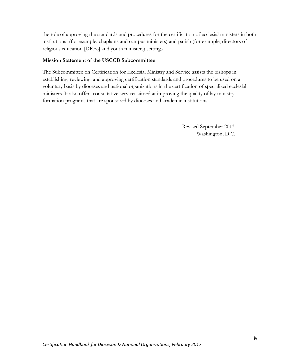the role of approving the standards and procedures for the certification of ecclesial ministers in both institutional (for example, chaplains and campus ministers) and parish (for example, directors of religious education [DREs] and youth ministers) settings.

## **Mission Statement of the USCCB Subcommittee**

The Subcommittee on Certification for Ecclesial Ministry and Service assists the bishops in establishing, reviewing, and approving certification standards and procedures to be used on a voluntary basis by dioceses and national organizations in the certification of specialized ecclesial ministers. It also offers consultative services aimed at improving the quality of lay ministry formation programs that are sponsored by dioceses and academic institutions.

> Revised September 2013 Washington, D.C.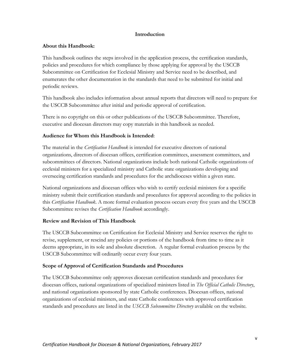## **Introduction**

### **About this Handbook:**

This handbook outlines the steps involved in the application process, the certification standards, policies and procedures for which compliance by those applying for approval by the USCCB Subcommittee on Certification for Ecclesial Ministry and Service need to be described, and enumerates the other documentation in the standards that need to be submitted for initial and periodic reviews.

This handbook also includes information about annual reports that directors will need to prepare for the USCCB Subcommittee after initial and periodic approval of certification.

There is no copyright on this or other publications of the USCCB Subcommittee. Therefore, executive and diocesan directors may copy materials in this handbook as needed.

## **Audience for Whom this Handbook is Intended**:

The material in the *Certification Handbook* is intended for executive directors of national organizations, directors of diocesan offices, certification committees, assessment committees, and subcommittees of directors. National organizations include both national Catholic organizations of ecclesial ministers for a specialized ministry and Catholic state organizations developing and overseeing certification standards and procedures for the archdioceses within a given state.

National organizations and diocesan offices who wish to certify ecclesial ministers for a specific ministry submit their certification standards and procedures for approval according to the policies in this *Certification Handbook*. A more formal evaluation process occurs every five years and the USCCB Subcommittee revises the *Certification Handbook* accordingly.

## **Review and Revision of This Handbook**

The USCCB Subcommittee on Certification for Ecclesial Ministry and Service reserves the right to revise, supplement, or rescind any policies or portions of the handbook from time to time as it deems appropriate, in its sole and absolute discretion. A regular formal evaluation process by the USCCB Subcommittee will ordinarily occur every four years.

## **Scope of Approval of Certification Standards and Procedures**

The USCCB Subcommittee only approves diocesan certification standards and procedures for diocesan offices, national organizations of specialized ministers listed in *The Official Catholic Directory*, and national organizations sponsored by state Catholic conferences. Diocesan offices, national organizations of ecclesial ministers, and state Catholic conferences with approved certification standards and procedures are listed in the *USCCB Subcommittee Directory* available on the website.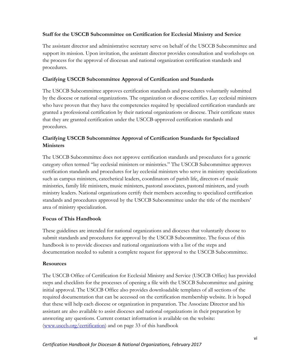## **Staff for the USCCB Subcommittee on Certification for Ecclesial Ministry and Service**

The assistant director and administrative secretary serve on behalf of the USCCB Subcommittee and support its mission. Upon invitation, the assistant director provides consultation and workshops on the process for the approval of diocesan and national organization certification standards and procedures.

## **Clarifying USCCB Subcommittee Approval of Certification and Standards**

The USCCB Subcommittee approves certification standards and procedures voluntarily submitted by the diocese or national organizations. The organization or diocese certifies. Lay ecclesial ministers who have proven that they have the competencies required by specialized certification standards are granted a professional certification by their national organizations or diocese. Their certificate states that they are granted certification under the USCCB-approved certification standards and procedures.

## **Clarifying USCCB Subcommittee Approval of Certification Standards for Specialized Ministers**

The USCCB Subcommittee does not approve certification standards and procedures for a generic category often termed "lay ecclesial ministers or ministries." The USCCB Subcommittee approves certification standards and procedures for lay ecclesial ministers who serve in ministry specializations such as campus ministers, catechetical leaders, coordinators of parish life, directors of music ministries, family life ministers, music ministers, pastoral associates, pastoral ministers, and youth ministry leaders. National organizations certify their members according to specialized certification standards and procedures approved by the USCCB Subcommittee under the title of the members' area of ministry specialization.

## **Focus of This Handbook**

These guidelines are intended for national organizations and dioceses that voluntarily choose to submit standards and procedures for approval by the USCCB Subcommittee. The focus of this handbook is to provide dioceses and national organizations with a list of the steps and documentation needed to submit a complete request for approval to the USCCB Subcommittee.

## **Resources**

The USCCB Office of Certification for Ecclesial Ministry and Service (USCCB Office) has provided steps and checklists for the processes of opening a file with the USCCB Subcommittee and gaining initial approval. The USCCB Office also provides downloadable templates of all sections of the required documentation that can be accessed on the certification membership website. It is hoped that these will help each diocese or organization in preparation. The Associate Director and his assistant are also available to assist dioceses and national organizations in their preparation by answering any questions. Current contact information is available on the website: [\(www.usccb.org/certification\)](http://www.usccb.org/certification) and on page 33 of this handbook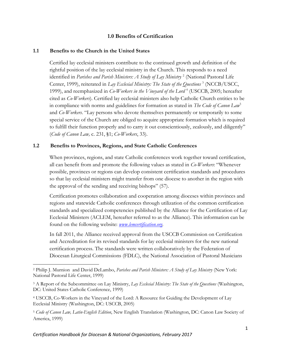## **1.0 Benefits of Certification**

### **1.1 Benefits to the Church in the United States**

Certified lay ecclesial ministers contribute to the continued growth and definition of the rightful position of the lay ecclesial ministry in the Church. This responds to a need identified in *Parishes and Parish Ministers: A Study of Lay Ministry* <sup>2</sup> (National Pastoral Life Center, 1999), reiterated in *Lay Ecclesial Ministry: The State of the Questions* <sup>3</sup> (NCCB/USCC, 1999), and reemphasized in *Co-Workers in the Vineyard of the Lord* <sup>4</sup> (USCCB, 2005; hereafter cited as *Co-Workers*). Certified lay ecclesial ministers also help Catholic Church entities to be in compliance with norms and guidelines for formation as stated in *The Code of Canon Law*<sup>5</sup>  and *Co-Workers*. "Lay persons who devote themselves permanently or temporarily to some special service of the Church are obliged to acquire appropriate formation which is required to fulfill their function properly and to carry it out conscientiously, zealously, and diligently" (*Code of Canon Law,* c. 231, §1; *Co-Workers*, 33).

## **1.2 Benefits to Provinces, Regions, and State Catholic Conferences**

When provinces, regions, and state Catholic conferences work together toward certification, all can benefit from and promote the following values as stated in *Co-Workers*: "Whenever possible, provinces or regions can develop consistent certification standards and procedures so that lay ecclesial ministers might transfer from one diocese to another in the region with the approval of the sending and receiving bishops" (57).

Certification promotes collaboration and cooperation among dioceses within provinces and regions and statewide Catholic conferences through utilization of the common certification standards and specialized competencies published by the Alliance for the Certification of Lay Ecclesial Ministers (ACLEM, hereafter referred to as the Alliance). This information can be found on the following website: *[www.lemcertification.org](http://www.lemcertification.org/)*.

In fall 2011, the Alliance received approval from the USCCB Commission on Certification and Accreditation for its revised standards for lay ecclesial ministers for the new national certification process. The standards were written collaboratively by the Federation of Diocesan Liturgical Commissions (FDLC), the National Association of Pastoral Musicians

<sup>5</sup> *Code of Canon Law, Latin-English Edition*, New English Translation (Washington, DC: Canon Law Society of America, 1999)

 $\overline{a}$ <sup>2</sup> Philip J. Murnion and David DeLambo, *Parishes and Parish Ministers: A Study of Lay Ministry* (New York: National Pastoral Life Center, 1999)

<sup>3</sup> A Report of the Subcommittee on Lay Ministry, *Lay Ecclesial Ministry: The State of the Questions* (Washington, DC: United States Catholic Conference, 1999)

<sup>4</sup> USCCB, Co-Workers in the Vineyard of the Lord: A Resource for Guiding the Development of Lay Ecclesial Ministry (Washington, DC: USCCB, 2005)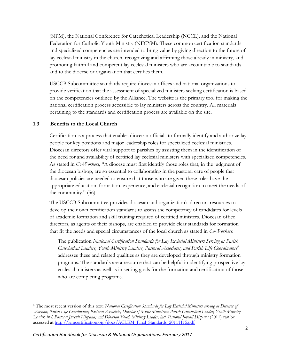(NPM), the National Conference for Catechetical Leadership (NCCL), and the National Federation for Catholic Youth Ministry (NFCYM). These common certification standards and specialized competencies are intended to bring value by giving direction to the future of lay ecclesial ministry in the church, recognizing and affirming those already in ministry, and promoting faithful and competent lay ecclesial ministers who are accountable to standards and to the diocese or organization that certifies them.

USCCB Subcommittee standards require diocesan offices and national organizations to provide verification that the assessment of specialized ministers seeking certification is based on the competencies outlined by the Alliance. The website is the primary tool for making the national certification process accessible to lay ministers across the country. All materials pertaining to the standards and certification process are available on the site.

## **1.3 Benefits to the Local Church**

Certification is a process that enables diocesan officials to formally identify and authorize lay people for key positions and major leadership roles for specialized ecclesial ministries. Diocesan directors offer vital support to parishes by assisting them in the identification of the need for and availability of certified lay ecclesial ministers with specialized competencies. As stated in *Co-Workers,* "A diocese must first identify those roles that, in the judgment of the diocesan bishop, are so essential to collaborating in the pastoral care of people that diocesan policies are needed to ensure that those who are given these roles have the appropriate education, formation, experience, and ecclesial recognition to meet the needs of the community." (56)

The USCCB Subcommittee provides diocesan and organization's directors resources to develop their own certification standards to assess the competency of candidates for levels of academic formation and skill training required of certified ministers. Diocesan office directors, as agents of their bishops, are enabled to provide clear standards for formation that fit the needs and special circumstances of the local church as stated in *Co-Workers*:

The publication *National Certification Standards for Lay Ecclesial Ministers Serving as Parish Catechetical Leaders, Youth Ministry Leaders, Pastoral Associates, and Parish Life Coordinators<sup>6</sup>* addresses these and related qualities as they are developed through ministry formation programs. The standards are a resource that can be helpful in identifying prospective lay ecclesial ministers as well as in setting goals for the formation and certification of those who are completing programs.

l <sup>6</sup> The most recent version of this text: *National Certification Standards for Lay Ecclesial Ministers serving as Director of Worship; Parish Life Coordinator; Pastoral Associate; Director of Music Ministries; Parish Catechetical Leader; Youth Ministry*  Leader, incl. Pastoral Juvenil Hispana; and Diocesan Youth Ministry Leader, incl. Pastoral Juvenil Hispana (2011) can be accessed at [http://lemcertification.org/docs/ACLEM\\_Final\\_Standards\\_20111115.pdf](http://lemcertification.org/docs/ACLEM_Final_Standards_20111115.pdf)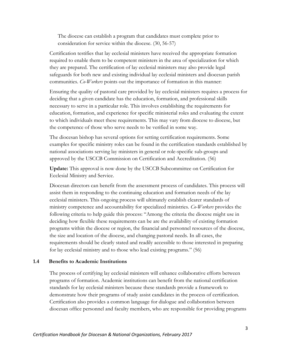The diocese can establish a program that candidates must complete prior to consideration for service within the diocese. (30, 56-57)

Certification testifies that lay ecclesial ministers have received the appropriate formation required to enable them to be competent ministers in the area of specialization for which they are prepared. The certification of lay ecclesial ministers may also provide legal safeguards for both new and existing individual lay ecclesial ministers and diocesan parish communities. *Co-Workers* points out the importance of formation in this manner:

Ensuring the quality of pastoral care provided by lay ecclesial ministers requires a process for deciding that a given candidate has the education, formation, and professional skills necessary to serve in a particular role. This involves establishing the requirements for education, formation, and experience for specific ministerial roles and evaluating the extent to which individuals meet these requirements. This may vary from diocese to diocese, but the competence of those who serve needs to be verified in some way.

The diocesan bishop has several options for setting certification requirements. Some examples for specific ministry roles can be found in the certification standards established by national associations serving lay ministers in general or role-specific sub-groups and approved by the USCCB Commission on Certification and Accreditation. (56)

**Update:** This approval is now done by the USCCB Subcommittee on Certification for Ecclesial Ministry and Service.

Diocesan directors can benefit from the assessment process of candidates. This process will assist them in responding to the continuing education and formation needs of the lay ecclesial ministers. This ongoing process will ultimately establish clearer standards of ministry competence and accountability for specialized ministries. *Co-Workers* provides the following criteria to help guide this process: "Among the criteria the diocese might use in deciding how flexible these requirements can be are the availability of existing formation programs within the diocese or region, the financial and personnel resources of the diocese, the size and location of the diocese, and changing pastoral needs. In all cases, the requirements should be clearly stated and readily accessible to those interested in preparing for lay ecclesial ministry and to those who lead existing programs." (56)

#### **1.4 Benefits to Academic Institutions**

The process of certifying lay ecclesial ministers will enhance collaborative efforts between programs of formation. Academic institutions can benefit from the national certification standards for lay ecclesial ministers because these standards provide a framework to demonstrate how their programs of study assist candidates in the process of certification. Certification also provides a common language for dialogue and collaboration between diocesan office personnel and faculty members, who are responsible for providing programs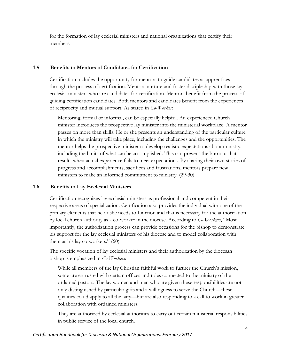for the formation of lay ecclesial ministers and national organizations that certify their members.

### **1.5 Benefits to Mentors of Candidates for Certification**

Certification includes the opportunity for mentors to guide candidates as apprentices through the process of certification. Mentors nurture and foster discipleship with those lay ecclesial ministers who are candidates for certification. Mentors benefit from the process of guiding certification candidates. Both mentors and candidates benefit from the experiences of reciprocity and mutual support. As stated in *Co-Worker*:

Mentoring, formal or informal, can be especially helpful. An experienced Church minister introduces the prospective lay minister into the ministerial workplace. A mentor passes on more than skills. He or she presents an understanding of the particular culture in which the ministry will take place, including the challenges and the opportunities. The mentor helps the prospective minister to develop realistic expectations about ministry, including the limits of what can be accomplished. This can prevent the burnout that results when actual experience fails to meet expectations. By sharing their own stories of progress and accomplishments, sacrifices and frustrations, mentors prepare new ministers to make an informed commitment to ministry. (29-30)

## **1.6 Benefits to Lay Ecclesial Ministers**

Certification recognizes lay ecclesial ministers as professional and competent in their respective areas of specialization. Certification also provides the individual with one of the primary elements that he or she needs to function and that is necessary for the authorization by local church authority as a co-worker in the diocese. According to *Co-Workers*, "Most importantly, the authorization process can provide occasions for the bishop to demonstrate his support for the lay ecclesial ministers of his diocese and to model collaboration with them as his lay co-workers." (60)

The specific vocation of lay ecclesial ministers and their authorization by the diocesan bishop is emphasized in *Co-Workers*:

While all members of the lay Christian faithful work to further the Church's mission, some are entrusted with certain offices and roles connected to the ministry of the ordained pastors. The lay women and men who are given these responsibilities are not only distinguished by particular gifts and a willingness to serve the Church—these qualities could apply to all the laity—but are also responding to a call to work in greater collaboration with ordained ministers.

They are authorized by ecclesial authorities to carry out certain ministerial responsibilities in public service of the local church.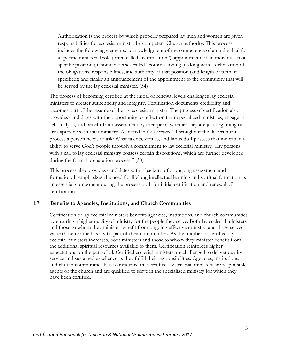Authorization is the process by which properly prepared lay men and women are given responsibilities for ecclesial ministry by competent Church authority. This process includes the following elements: acknowledgment of the competence of an individual for a specific ministerial role (often called "certification"); appointment of an individual to a specific position (in some dioceses called "commissioning"), along with a delineation of the obligations, responsibilities, and authority of that position (and length of term, if specified); and finally an announcement of the appointment to the community that will be served by the lay ecclesial minister. (54)

The process of becoming certified at the initial or renewal levels challenges lay ecclesial ministers to greater authenticity and integrity. Certification documents credibility and becomes part of the resume of the lay ecclesial minister. The process of certification also provides candidates with the opportunity to reflect on their specialized ministries, engage in self-analysis, and benefit from assessment by their peers whether they are just beginning or are experienced in their ministry. As noted in *Co-Workers*, "Throughout the discernment process a person needs to ask: What talents, virtues, and limits do I possess that indicate my ability to serve God's people through a commitment to lay ecclesial ministry? Lay persons with a call to lay ecclesial ministry possess certain dispositions, which are further developed during the formal preparation process." (30)

This process also provides candidates with a backdrop for ongoing assessment and formation. It emphasizes the need for lifelong intellectual learning and spiritual formation as an essential component during the process both for initial certification and renewal of certification.

#### **1.7 Benefits to Agencies, Institutions, and Church Communities**

Certification of lay ecclesial ministers benefits agencies, institutions, and church communities by ensuring a higher quality of ministry for the people they serve. Both lay ecclesial ministers and those to whom they minister benefit from ongoing effective ministry, and those served value those certified as a vital part of their communities. As the number of certified lay ecclesial ministers increases, both ministers and those to whom they minister benefit from the additional spiritual resources available to them. Certification reinforces higher expectations on the part of all. Certified ecclesial ministers are challenged to deliver quality service and sustained excellence as they fulfill their responsibilities. Agencies, institutions, and church communities have confidence that certified lay ecclesial ministers are responsible agents of the church and are qualified to serve in the specialized ministry for which they have been certified.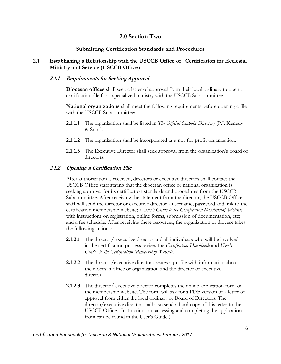## **2.0 Section Two**

## **Submitting Certification Standards and Procedures**

## **2.1 Establishing a Relationship with the USCCB Office of Certification for Ecclesial Ministry and Service (USCCB Office)**

## **2.1.1 Requirements for Seeking Approval**

**Diocesan offices** shall seek a letter of approval from their local ordinary to open a certification file for a specialized ministry with the USCCB Subcommittee.

**National organizations** shall meet the following requirements before opening a file with the USCCB Subcommittee:

- **2.1.1.1** The organization shall be listed in *The Official Catholic Directory* (P.J. Kenedy & Sons).
- **2.1.1.2** The organization shall be incorporated as a not-for-profit organization.
- **2.1.1.3** The Executive Director shall seek approval from the organization's board of directors.

## **2.1.2 Opening a Certification File**

After authorization is received, directors or executive directors shall contact the USCCB Office staff stating that the diocesan office or national organization is seeking approval for its certification standards and procedures from the USCCB Subcommittee. After receiving the statement from the director, the USCCB Office staff will send the director or executive director a username, password and link to the certification membership website; a *User's Guide to the Certification Membership Website* with instructions on registration, online forms, submission of documentation, etc; and a fee schedule. After receiving these resources, the organization or diocese takes the following actions:

- **2.1.2.1** The director/ executive director and all individuals who will be involved in the certification process review the *Certification Handbook* and *User's Guide to the Certification Membership Website*.
- **2.1.2.2** The director/executive director creates a profile with information about the diocesan office or organization and the director or executive director.
- **2.1.2.3** The director/ executive director completes the online application form on the membership website. The form will ask for a PDF version of a letter of approval from either the local ordinary or Board of Directors. The director/executive director shall also send a hard copy of this letter to the USCCB Office. (Instructions on accessing and completing the application from can be found in the User's Guide.)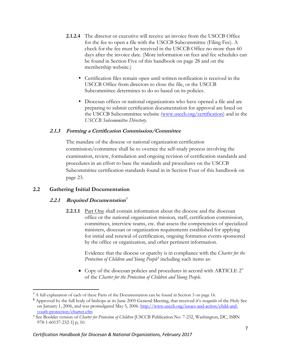- **2.1.2.4** The director or executive will receive an invoice from the USCCB Office for the fee to open a file with the USCCB Subcommittee (Filing Fee). A check for the fee must be received in the USCCB Office no more than 60 days after the invoice date. (More information on fees and fee schedules can be found in Section Five of this handbook on page 28 and on the membership website.)
	- Certification files remain open until written notification is received in the USCCB Office from directors to close the file, or the USCCB Subcommittee determines to do so based on its policies.
	- Diocesan offices or national organizations who have opened a file and are preparing to submit certification documentation for approval are listed on the USCCB Subcommittee website [\(www.usccb.org/certification\)](http://www.usccb.org/certification) and in the *USCCB Subcommittee Directory*.

## **2.1.3 Forming a Certification Commission/Committee**

The mandate of the diocese or national organization certification commission/committee shall be to oversee the self-study process involving the examination, review, formulation and ongoing revision of certification standards and procedures in an effort to base the standards and procedures on the USCCB Subcommittee certification standards found in in Section Four of this handbook on page 23.

## **2.2 Gathering Initial Documentation**

l

## **2.2.1 Required Documentation 7**

**2.2.1.1** Part One shall contain information about the diocese and the diocesan office or the national organization mission, staff, certification commission, committees, interview teams, etc. that assess the competencies of specialized ministers, diocesan or organization requirements established for applying for initial and renewal of certification, ongoing formation events sponsored by the office or organization, and other pertinent information.

Evidence that the diocese or eparchy is in compliance with the *Charter for the Protection of Children and Young People 8* including such items as:

 $\bullet$  Copy of the diocesan policies and procedures in accord with ARTICLE  $2^{\circ}$ of the *Charter for the Protection of Children and Young People.*

<sup>7</sup> A full explanation of each of these Parts of the Documentation can be found in Section 3 on page 16.

<sup>8</sup> Approved by the full body of bishops at its June 2005 General Meeting, that received it's *recognitio* of the Holy See on January 1, 2006, and was promulgated May 5, 2006. [http://www.usccb.org/issues-and-action/child-and](http://www.usccb.org/issues-and-action/child-and-youth-protection/charter.cfm)[youth-protection/charter.cfm](http://www.usccb.org/issues-and-action/child-and-youth-protection/charter.cfm)

<sup>9</sup> See Booklet version of *Charter for Protection of Children* [USCCB Publication No. 7-232, Washington, DC, ISBN 978-1-60137-232-1] p, 10*.*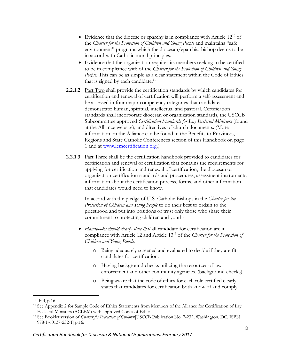- Evidence that the diocese or eparchy is in compliance with Article  $12^{10}$  of the *Charter for the Protection of Children and Young People* and maintains "safe environment" programs which the diocesan/eparchial bishop deems to be in accord with Catholic moral principles.
- Evidence that the organization requires its members seeking to be certified to be in compliance with of the *Charter for the Protection of Children and Young People.* This can be as simple as a clear statement within the Code of Ethics that is signed by each candidate. $11$
- **2.2.1.2** Part Two shall provide the certification standards by which candidates for certification and renewal of certification will perform a self-assessment and be assessed in four major competency categories that candidates demonstrate: human, spiritual, intellectual and pastoral. Certification standards shall incorporate diocesan or organization standards, the USCCB Subcommittee approved *Certification Standards for Lay Ecclesial Ministers* (found at the Alliance website), and directives of church documents. (More information on the Alliance can be found in the Benefits to Provinces, Regions and State Catholic Conferences section of this Handbook on page 1 and at [www.lemcertification.org.](http://www.lemcertification.org/))
- **2.2.1.3** Part Three shall be the certification handbook provided to candidates for certification and renewal of certification that contains the requirements for applying for certification and renewal of certification, the diocesan or organization certification standards and procedures, assessment instruments, information about the certification process, forms, and other information that candidates would need to know.

In accord with the pledge of U.S. Catholic Bishops in the *Charter for the Protection of Children and Young People* to do their best to ordain to the priesthood and put into positions of trust only those who share their commitment to protecting children and youth*:*

- *Handbooks should clearly state that* all candidate for certification are in compliance with Article 12 and Article 13<sup>12</sup> of the *Charter for the Protection of Children and Young People.*
	- o Being adequately screened and evaluated to decide if they are fit candidates for certification.
	- o Having background checks utilizing the resources of law enforcement and other community agencies. (background checks)
	- o Being aware that the code of ethics for each role certified clearly states that candidates for certification both know of and comply

 $\overline{\phantom{a}}$ 

<sup>10</sup> Ibid, p.16.

<sup>11</sup> See Appendix 2 for Sample Code of Ethics Statements from Members of the Alliance for Certification of Lay Ecclesial Ministers (ACLEM) with approved Codes of Ethics.

<sup>12</sup> See Booklet version of *Charter for Protection of Children*[USCCB Publication No. 7-232, Washington, DC, ISBN 978-1-60137-232-1] p.16: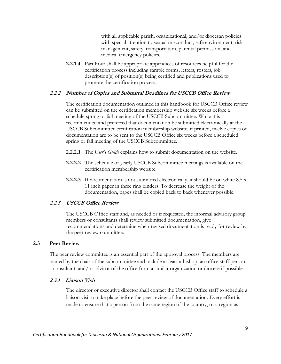with all applicable parish, organizational, and/or diocesan policies with special attention to sexual misconduct, safe environment, risk management, safety, transportation, parental permission, and medical emergency policies.

**2.2.1.4** Part Four shall be appropriate appendices of resources helpful for the certification process including sample forms, letters, rosters, job description(s) of position(s) being certified and publications used to promote the certification process.

#### **2.2.2 Number of Copies and Submittal Deadlines for USCCB Office Review**

The certification documentation outlined in this handbook for USCCB Office review can be submitted on the certification membership website six weeks before a schedule spring or fall meeting of the USCCB Subcommittee. While it is recommended and preferred that documentation be submitted electronically at the USCCB Subcommittee certification membership website, if printed, twelve copies of documentation are to be sent to the USCCB Office six weeks before a scheduled spring or fall meeting of the USCCB Subcommittee.

- **2.2.2.1** The *User's Guide* explains how to submit documentation on the website.
- **2.2.2.2** The schedule of yearly USCCB Subcommittee meetings is available on the certification membership website.
- **2.2.2.3** If documentation is not submitted electronically, it should be on white 8.5 x 11 inch paper in three ring binders. To decrease the weight of the documentation, pages shall be copied back to back whenever possible.

#### **2.2.3 USCCB Office Review**

The USCCB Office staff and, as needed or if requested, the informal advisory group members or consultants shall review submitted documentation, give recommendations and determine when revised documentation is ready for review by the peer review committee.

#### **2.3 Peer Review**

The peer review committee is an essential part of the approval process. The members are named by the chair of the subcommittee and include at least a bishop, an office staff person, a consultant, and/or advisor of the office from a similar organization or diocese if possible.

#### **2.3.1 Liaison Visit**

The director or executive director shall contact the USCCB Office staff to schedule a liaison visit to take place before the peer review of documentation. Every effort is made to ensure that a person from the same region of the country, or a region as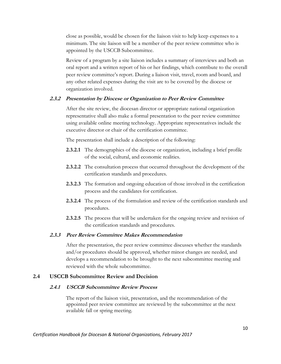close as possible, would be chosen for the liaison visit to help keep expenses to a minimum. The site liaison will be a member of the peer review committee who is appointed by the USCCB Subcommittee.

Review of a program by a site liaison includes a summary of interviews and both an oral report and a written report of his or her findings, which contribute to the overall peer review committee's report. During a liaison visit, travel, room and board, and any other related expenses during the visit are to be covered by the diocese or organization involved.

## **2.3.2 Presentation by Diocese or Organization to Peer Review Committee**

After the site review, the diocesan director or appropriate national organization representative shall also make a formal presentation to the peer review committee using available online meeting technology. Appropriate representatives include the executive director or chair of the certification committee.

The presentation shall include a description of the following:

- **2.3.2.1** The demographics of the diocese or organization, including a brief profile of the social, cultural, and economic realities.
- **2.3.2.2** The consultation process that occurred throughout the development of the certification standards and procedures.
- **2.3.2.3** The formation and ongoing education of those involved in the certification process and the candidates for certification.
- **2.3.2.4** The process of the formulation and review of the certification standards and procedures.
- **2.3.2.5** The process that will be undertaken for the ongoing review and revision of the certification standards and procedures.

#### **2.3.3 Peer Review Committee Makes Recommendation**

After the presentation, the peer review committee discusses whether the standards and/or procedures should be approved, whether minor changes are needed, and develops a recommendation to be brought to the next subcommittee meeting and reviewed with the whole subcommittee.

## **2.4 USCCB Subcommittee Review and Decision**

#### **2.4.1 USCCB Subcommittee Review Process**

The report of the liaison visit, presentation, and the recommendation of the appointed peer review committee are reviewed by the subcommittee at the next available fall or spring meeting.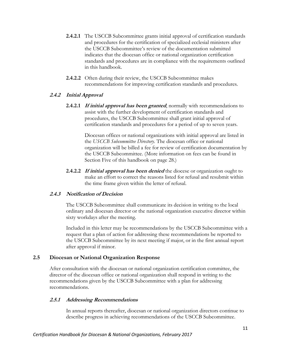- **2.4.2.1** The USCCB Subcommittee grants initial approval of certification standards and procedures for the certification of specialized ecclesial ministers after the USCCB Subcommittee's review of the documentation submitted indicates that the diocesan office or national organization certification standards and procedures are in compliance with the requirements outlined in this handbook.
- **2.4.2.2** Often during their review, the USCCB Subcommittee makes recommendations for improving certification standards and procedures.

## **2.4.2 Initial Approval**

**2.4.2.1 If initial approval has been granted**, normally with recommendations to assist with the further development of certification standards and procedures, the USCCB Subcommittee shall grant initial approval of certification standards and procedures for a period of up to seven years.

> Diocesan offices or national organizations with initial approval are listed in the *USCCB Subcommittee Directory*. The diocesan office or national organization will be billed a fee for review of certification documentation by the USCCB Subcommittee. (More information on fees can be found in Section Five of this handbook on page 28.)

**2.4.2.2 If initial approval has been denied** the diocese or organization ought to make an effort to correct the reasons listed for refusal and resubmit within the time frame given within the letter of refusal.

## **2.4.3 Notification of Decision**

The USCCB Subcommittee shall communicate its decision in writing to the local ordinary and diocesan director or the national organization executive director within sixty workdays after the meeting.

Included in this letter may be recommendations by the USCCB Subcommittee with a request that a plan of action for addressing these recommendations be reported to the USCCB Subcommittee by its next meeting if major, or in the first annual report after approval if minor.

## **2.5 Diocesan or National Organization Response**

After consultation with the diocesan or national organization certification committee, the director of the diocesan office or national organization shall respond in writing to the recommendations given by the USCCB Subcommittee with a plan for addressing recommendations.

## **2.5.1 Addressing Recommendations**

In annual reports thereafter, diocesan or national organization directors continue to describe progress in achieving recommendations of the USCCB Subcommittee.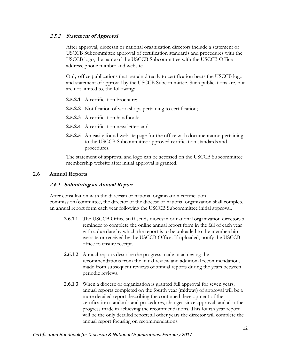## **2.5.2 Statement of Approval**

After approval, diocesan or national organization directors include a statement of USCCB Subcommittee approval of certification standards and procedures with the USCCB logo, the name of the USCCB Subcommittee with the USCCB Office address, phone number and website.

Only office publications that pertain directly to certification bears the USCCB logo and statement of approval by the USCCB Subcommittee. Such publications are, but are not limited to, the following:

- **2.5.2.1** A certification brochure;
- **2.5.2.2** Notification of workshops pertaining to certification;
- **2.5.2.3** A certification handbook;
- **2.5.2.4** A certification newsletter; and
- **2.5.2.5** An easily found website page for the office with documentation pertaining to the USCCB Subcommittee-approved certification standards and procedures.

The statement of approval and logo can be accessed on the USCCB Subcommittee membership website after initial approval is granted.

## **2.6 Annual Reports**

### **2.6.1 Submitting an Annual Report**

After consultation with the diocesan or national organization certification commission/committee, the director of the diocese or national organization shall complete an annual report form each year following the USCCB Subcommittee initial approval.

- **2.6.1.1** The USCCB Office staff sends diocesan or national organization directors a reminder to complete the online annual report form in the fall of each year with a due date by which the report is to be uploaded to the membership website or received by the USCCB Office. If uploaded, notify the USCCB office to ensure receipt.
- **2.6.1.2** Annual reports describe the progress made in achieving the recommendations from the initial review and additional recommendations made from subsequent reviews of annual reports during the years between periodic reviews.
- **2.6.1.3** When a diocese or organization is granted full approval for seven years, annual reports completed on the fourth year (midway) of approval will be a more detailed report describing the continued development of the certification standards and procedures, changes since approval, and also the progress made in achieving the recommendations. This fourth year report will be the only detailed report; all other years the director will complete the annual report focusing on recommendations.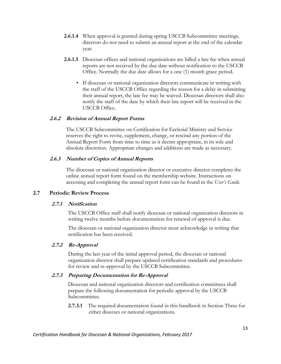- **2.6.1.4** When approval is granted during spring USCCB Subcommittee meetings, directors do not need to submit an annual report at the end of the calendar year.
- **2.6.1.5** Diocesan offices and national organizations are billed a late fee when annual reports are not received by the due date without notification to the USCCB Office. Normally the due date allows for a one (1) month grace period.
	- If diocesan or national organization directors communicate in writing with the staff of the USCCB Office regarding the reason for a delay in submitting their annual report, the late fee may be waived. Diocesan directors shall also notify the staff of the date by which their late report will be received in the USCCB Office.

## **2.6.2 Revision of Annual Report Forms**

The USCCB Subcommittee on Certification for Ecclesial Ministry and Service reserves the right to revise, supplement, change, or rescind any portion of the Annual Report Form from time to time as it deems appropriate, in its sole and absolute discretion. Appropriate changes and additions are made as necessary.

## **2.6.3 Number of Copies of Annual Reports**

The diocesan or national organization director or executive director completes the online annual report form found on the membership website. Instructions on accessing and completing the annual report form can be found in the *User's Guide*.

#### **2.7 Periodic Review Process**

#### **2.7.1 Notification**

The USCCB Office staff shall notify diocesan or national organization directors in writing twelve months before documentation for renewal of approval is due.

The diocesan or national organization director must acknowledge in writing that notification has been received.

#### **2.7.2****Re-Approval**

During the last year of the initial approval period, the diocesan or national organization director shall prepare updated certification standards and procedures for review and re-approval by the USCCB Subcommittee.

#### **2.7.3 Preparing Documentation for Re-Approval**

Diocesan and national organization directors and certification committees shall prepare the following documentation for periodic approval by the USCCB Subcommittee.

**2.7.3.1** The required documentation found in this handbook in Section Three for either dioceses or national organizations.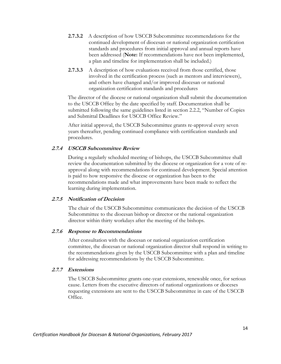- **2.7.3.2** A description of how USCCB Subcommittee recommendations for the continued development of diocesan or national organization certification standards and procedures from initial approval and annual reports have been addressed (**Note:** If recommendations have not been implemented, a plan and timeline for implementation shall be included.)
- **2.7.3.3** A description of how evaluations received from those certified, those involved in the certification process (such as mentors and interviewers), and others have changed and/or improved diocesan or national organization certification standards and procedures

The director of the diocese or national organization shall submit the documentation to the USCCB Office by the date specified by staff. Documentation shall be submitted following the same guidelines listed in section 2.2.2, "Number of Copies and Submittal Deadlines for USCCB Office Review."

After initial approval, the USCCB Subcommittee grants re-approval every seven years thereafter, pending continued compliance with certification standards and procedures.

## **2.7.4 USCCB Subcommittee Review**

During a regularly scheduled meeting of bishops, the USCCB Subcommittee shall review the documentation submitted by the diocese or organization for a vote of reapproval along with recommendations for continued development. Special attention is paid to how responsive the diocese or organization has been to the recommendations made and what improvements have been made to reflect the learning during implementation.

#### **2.7.5 Notification of Decision**

The chair of the USCCB Subcommittee communicates the decision of the USCCB Subcommittee to the diocesan bishop or director or the national organization director within thirty workdays after the meeting of the bishops.

#### **2.7.6 Response to Recommendations**

After consultation with the diocesan or national organization certification committee, the diocesan or national organization director shall respond in writing to the recommendations given by the USCCB Subcommittee with a plan and timeline for addressing recommendations by the USCCB Subcommittee.

#### **2.7.7 Extensions**

The USCCB Subcommittee grants one-year extensions, renewable once, for serious cause. Letters from the executive directors of national organizations or dioceses requesting extensions are sent to the USCCB Subcommittee in care of the USCCB Office.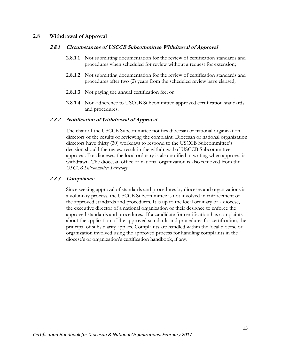#### **2.8 Withdrawal of Approval**

#### **2.8.1 Circumstances of USCCB Subcommittee Withdrawal of Approval**

- **2.8.1.1** Not submitting documentation for the review of certification standards and procedures when scheduled for review without a request for extension;
- **2.8.1.2** Not submitting documentation for the review of certification standards and procedures after two (2) years from the scheduled review have elapsed;
- **2.8.1.3** Not paying the annual certification fee; or
- **2.8.1.4** Non-adherence to USCCB Subcommittee-approved certification standards and procedures.

#### **2.8.2 Notification of Withdrawal of Approval**

The chair of the USCCB Subcommittee notifies diocesan or national organization directors of the results of reviewing the complaint. Diocesan or national organization directors have thirty (30) workdays to respond to the USCCB Subcommittee's decision should the review result in the withdrawal of USCCB Subcommittee approval. For dioceses, the local ordinary is also notified in writing when approval is withdrawn. The diocesan office or national organization is also removed from the *USCCB Subcommittee Directory*.

#### **2.8.3 Compliance**

Since seeking approval of standards and procedures by dioceses and organizations is a voluntary process, the USCCB Subcommittee is not involved in enforcement of the approved standards and procedures. It is up to the local ordinary of a diocese, the executive director of a national organization or their designee to enforce the approved standards and procedures. If a candidate for certification has complaints about the application of the approved standards and procedures for certification, the principal of subsidiarity applies. Complaints are handled within the local diocese or organization involved using the approved process for handling complaints in the diocese's or organization's certification handbook, if any.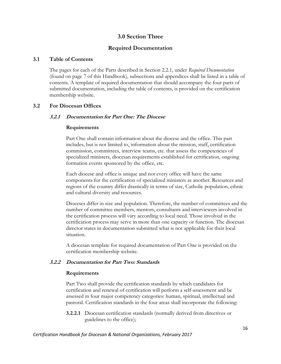## **3.0 Section Three**

## **Required Documentation**

#### **3.1 Table of Contents**

The pages for each of the Parts described in Section 2.2.1, under *Required Documentation* (found on page 7 of this Handbook), subsections and appendices shall be listed in a table of contents. A template of required documentation that should accompany the four parts of submitted documentation, including the table of contents, is provided on the certification membership website.

#### **3.2 For Diocesan Offices**

#### **3.2.1 Documentation for Part One: The Diocese**

#### **Requirements**

Part One shall contain information about the diocese and the office. This part includes, but is not limited to, information about the mission, staff, certification commission, committees, interview teams, etc. that assess the competencies of specialized ministers, diocesan requirements established for certification, ongoing formation events sponsored by the office, etc.

Each diocese and office is unique and not every office will have the same components for the certification of specialized ministers as another. Resources and regions of the country differ drastically in terms of size, Catholic population, ethnic and cultural diversity and resources.

Dioceses differ in size and population. Therefore, the number of committees and the number of committee members, mentors, consultants and interviewers involved in the certification process will vary according to local need. Those involved in the certification process may serve in more than one capacity or function. The diocesan director states in documentation submitted what is not applicable for their local situation.

A diocesan template for required documentation of Part One is provided on the certification membership website.

#### **3.2.2 Documentation for Part Two: Standards**

#### **Requirements**

Part Two shall provide the certification standards by which candidates for certification and renewal of certification will perform a self-assessment and be assessed in four major competency categories: human, spiritual, intellectual and pastoral. Certification standards in the four areas shall incorporate the following:

**3.2.2.1** Diocesan certification standards (normally derived from directives or guidelines to the office);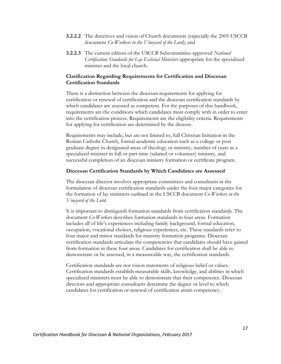- **3.2.2.2** The directives and vision of Church documents (especially the 2005 USCCB document *Co-Workers in the Vineyard of the Lord*); and
- **3.2.2.3** The current edition of the USCCB Subcommittee-approved *National Certification Standards for Lay Ecclesial Ministers* appropriate for the specialized minister and the local church.

#### **Clarification Regarding Requirements for Certification and Diocesan Certification Standards**

There is a distinction between the diocesan requirements for applying for certification or renewal of certification and the diocesan certification standards by which candidates are assessed as competent. For the purposes of this handbook, requirements are the conditions which candidates must comply with in order to enter into the certification process. Requirements are the eligibility criteria. Requirements for applying for certification are determined by the diocese.

Requirements may include, but are not limited to, full Christian Initiation in the Roman Catholic Church, formal academic education such as a college or post graduate degree in designated areas of theology or ministry, number of years as a specialized minister in full or part-time (salaried or volunteer) ministry, and successful completion of an diocesan ministry formation or certificate program.

#### **Diocesan Certification Standards by Which Candidates are Assessed**

The diocesan director involves appropriate committees and consultants in the formulation of diocesan certification standards under the four major categories for the formation of lay ministers outlined in the USCCB document *Co-Workers in the Vineyard of the Lord*.

It is important to distinguish formation standards from certification standards. The document *Co-Workers* describes formation standards in four areas. Formation includes all of life's experiences including family background, formal education, occupation, vocational choices, religious experiences, etc. These standards refer to four major and minor standards for ministry formation programs. Diocesan certification standards articulate the competencies that candidates should have gained from formation in these four areas. Candidates for certification shall be able to demonstrate or be assessed, in a measureable way, the certification standards.

Certification standards are not vision statements of religious belief or values. Certification standards establish measurable skills, knowledge, and abilities in which specialized ministers must be able to demonstrate that their competence. Diocesan directors and appropriate consultants determine the degree or level to which candidates for certification or renewal of certification attain competency.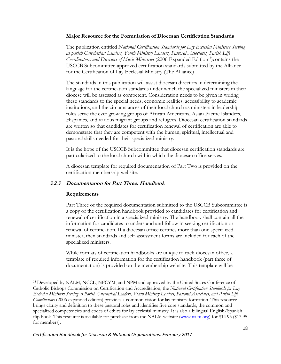#### **Major Resource for the Formulation of Diocesan Certification Standards**

The publication entitled *National Certification Standards for Lay Ecclesial Ministers Serving as parish Catechetical Leaders, Youth Ministry Leaders, Pastoral Associates, Parish Life Coordinators, and Directors of Music Ministries* (2006 Expanded Edition<sup>13</sup>) contains the USCCB Subcommittee-approved certification standards submitted by the Alliance for the Certification of Lay Ecclesial Ministry (The Alliance) .

The standards in this publication will assist diocesan directors in determining the language for the certification standards under which the specialized ministers in their diocese will be assessed as competent. Consideration needs to be given in writing these standards to the special needs, economic realities, accessibility to academic institutions, and the circumstances of their local church as ministers in leadership roles serve the ever growing groups of African Americans, Asian Pacific Islanders, Hispanics, and various migrant groups and refugees. Diocesan certification standards are written so that candidates for certification renewal of certification are able to demonstrate that they are competent with the human, spiritual, intellectual and pastoral skills needed for their specialized ministry.

It is the hope of the USCCB Subcommittee that diocesan certification standards are particularized to the local church within which the diocesan office serves.

A diocesan template for required documentation of Part Two is provided on the certification membership website.

## **3.2.3 Documentation for Part Three: Handbook**

#### **Requirements**

 $\overline{a}$ 

Part Three of the required documentation submitted to the USCCB Subcommittee is a copy of the certification handbook provided to candidates for certification and renewal of certification in a specialized ministry. The handbook shall contain all the information for candidates to understand and follow in seeking certification or renewal of certification. If a diocesan office certifies more than one specialized minister, then standards and self-assessment forms are included for each of the specialized ministers.

While formats of certification handbooks are unique to each diocesan office, a template of required information for the certification handbook (part three of documentation) is provided on the membership website. This template will be

<sup>&</sup>lt;sup>13</sup> Developed by NALM, NCCL, NFCYM, and NPM and approved by the United States Conference of Catholic Bishops Commission on Certification and Accreditation, the *National Certification Standards for Lay Ecclesial Ministers Serving as Parish Catechetical Leaders, Youth Ministry Leaders, Pastoral Associates, and Parish Life Coordinators* (2006 expanded edition) provides a common vision for lay ministry formation. This resource brings clarity and definition to these pastoral roles and identifies five core standards, the common and specialized competencies and codes of ethics for lay ecclesial ministry. It is also a bilingual English/Spanish flip book. This resource is available for purchase from the NALM website [\(www.nalm.org\)](http://www.nalm.org/) for \$14.95 (\$13.95 for members).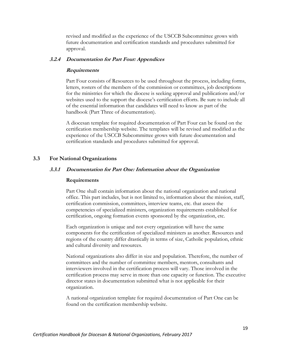revised and modified as the experience of the USCCB Subcommittee grows with future documentation and certification standards and procedures submitted for approval.

#### **3.2.4 Documentation for Part Four: Appendices**

#### **Requirements**

Part Four consists of Resources to be used throughout the process, including forms, letters, rosters of the members of the commission or committees, job descriptions for the ministries for which the diocese is seeking approval and publications and/or websites used to the support the diocese's certification efforts. Be sure to include all of the essential information that candidates will need to know as part of the handbook (Part Three of documentation).

A diocesan template for required documentation of Part Four can be found on the certification membership website. The templates will be revised and modified as the experience of the USCCB Subcommittee grows with future documentation and certification standards and procedures submitted for approval.

#### **3.3 For National Organizations**

#### **3.3.1 Documentation for Part One: Information about the Organization**

#### **Requirements**

Part One shall contain information about the national organization and national office. This part includes, but is not limited to, information about the mission, staff, certification commission, committees, interview teams, etc. that assess the competencies of specialized ministers, organization requirements established for certification, ongoing formation events sponsored by the organization, etc.

Each organization is unique and not every organization will have the same components for the certification of specialized ministers as another. Resources and regions of the country differ drastically in terms of size, Catholic population, ethnic and cultural diversity and resources.

National organizations also differ in size and population. Therefore, the number of committees and the number of committee members, mentors, consultants and interviewers involved in the certification process will vary. Those involved in the certification process may serve in more than one capacity or function. The executive director states in documentation submitted what is not applicable for their organization.

A national organization template for required documentation of Part One can be found on the certification membership website.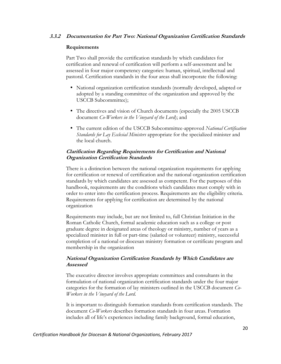## **3.3.2 Documentation for Part Two: National Organization Certification Standards**

#### **Requirements**

Part Two shall provide the certification standards by which candidates for certification and renewal of certification will perform a self-assessment and be assessed in four major competency categories: human, spiritual, intellectual and pastoral. Certification standards in the four areas shall incorporate the following:

- National organization certification standards (normally developed, adapted or adopted by a standing committee of the organization and approved by the USCCB Subcommittee);
- The directives and vision of Church documents (especially the 2005 USCCB document *Co-Workers in the Vineyard of the Lord*); and
- The current edition of the USCCB Subcommittee-approved *National Certification Standards for Lay Ecclesial Ministers* appropriate for the specialized minister and the local church.

## **Clarification Regarding Requirements for Certification and National Organization Certification Standards**

There is a distinction between the national organization requirements for applying for certification or renewal of certification and the national organization certification standards by which candidates are assessed as competent. For the purposes of this handbook, requirements are the conditions which candidates must comply with in order to enter into the certification process. Requirements are the eligibility criteria. Requirements for applying for certification are determined by the national organization

Requirements may include, but are not limited to, full Christian Initiation in the Roman Catholic Church, formal academic education such as a college or post graduate degree in designated areas of theology or ministry, number of years as a specialized minister in full or part-time (salaried or volunteer) ministry, successful completion of a national or diocesan ministry formation or certificate program and membership in the organization

## **National Organization Certification Standards by Which Candidates are Assessed**

The executive director involves appropriate committees and consultants in the formulation of national organization certification standards under the four major categories for the formation of lay ministers outlined in the USCCB document *Co-Workers in the Vineyard of the Lord*.

It is important to distinguish formation standards from certification standards. The document *Co-Workers* describes formation standards in four areas. Formation includes all of life's experiences including family background, formal education,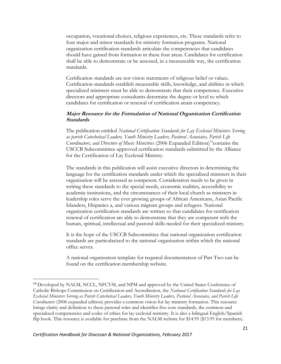occupation, vocational choices, religious experiences, etc. These standards refer to four major and minor standards for ministry formation programs. National organization certification standards articulate the competencies that candidates should have gained from formation in these four areas. Candidates for certification shall be able to demonstrate or be assessed, in a measureable way, the certification standards.

Certification standards are not vision statements of religious belief or values. Certification standards establish measurable skills, knowledge, and abilities in which specialized ministers must be able to demonstrate that their competence. Executive directors and appropriate consultants determine the degree or level to which candidates for certification or renewal of certification attain competency.

## **Major Resource for the Formulation of National Organization Certification Standards**

The publication entitled *National Certification Standards for Lay Ecclesial Ministers Serving as parish Catechetical Leaders, Youth Ministry Leaders, Pastoral Associates, Parish Life Coordinators, and Directors of Music Ministries* (2006 Expanded Edition)<sup>14</sup>contains the USCCB Subcommittee-approved certification standards submitted by the Alliance for the Certification of Lay Ecclesial Ministry.

The standards in this publication will assist executive directors in determining the language for the certification standards under which the specialized ministers in their organization will be assessed as competent. Consideration needs to be given in writing these standards to the special needs, economic realities, accessibility to academic institutions, and the circumstances of their local church as ministers in leadership roles serve the ever growing groups of African Americans, Asian Pacific Islanders, Hispanics a, and various migrant groups and refugees. National organization certification standards are written so that candidates for certification renewal of certification are able to demonstrate that they are competent with the human, spiritual, intellectual and pastoral skills needed for their specialized ministry.

It is the hope of the USCCB Subcommittee that national organization certification standards are particularized to the national organization within which the national office serves.

A national organization template for required documentation of Part Two can be found on the certification membership website.

l

<sup>&</sup>lt;sup>14</sup> Developed by NALM, NCCL, NFCYM, and NPM and approved by the United States Conference of Catholic Bishops Commission on Certification and Accreditation, the *National Certification Standards for Lay Ecclesial Ministers Serving as Parish Catechetical Leaders, Youth Ministry Leaders, Pastoral Associates, and Parish Life Coordinators* (2006 expanded edition) provides a common vision for lay ministry formation. This resource brings clarity and definition to these pastoral roles and identifies five core standards, the common and specialized competencies and codes of ethics for lay ecclesial ministry. It is also a bilingual English/Spanish flip book. This resource is available for purchase from the NALM website for \$14.95 (\$13.95 for members).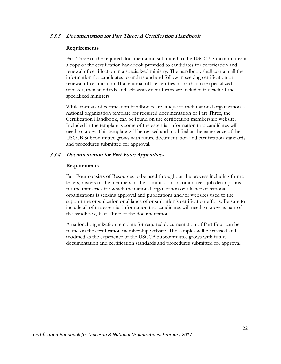#### **3.3.3 Documentation for Part Three: A Certification Handbook**

#### **Requirements**

Part Three of the required documentation submitted to the USCCB Subcommittee is a copy of the certification handbook provided to candidates for certification and renewal of certification in a specialized ministry. The handbook shall contain all the information for candidates to understand and follow in seeking certification or renewal of certification. If a national office certifies more than one specialized minister, then standards and self-assessment forms are included for each of the specialized ministers.

While formats of certification handbooks are unique to each national organization, a national organization template for required documentation of Part Three, the Certification Handbook, can be found on the certification membership website. Included in the template is some of the essential information that candidates will need to know. This template will be revised and modified as the experience of the USCCB Subcommittee grows with future documentation and certification standards and procedures submitted for approval.

#### **3.3.4 Documentation for Part Four: Appendices**

#### **Requirements**

Part Four consists of Resources to be used throughout the process including forms, letters, rosters of the members of the commission or committees, job descriptions for the ministries for which the national organization or alliance of national organizations is seeking approval and publications and/or websites used to the support the organization or alliance of organization's certification efforts. Be sure to include all of the essential information that candidates will need to know as part of the handbook, Part Three of the documentation.

A national organization template for required documentation of Part Four can be found on the certification membership website. The samples will be revised and modified as the experience of the USCCB Subcommittee grows with future documentation and certification standards and procedures submitted for approval.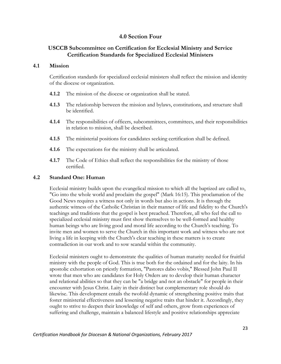## **4.0 Section Four**

## **USCCB Subcommittee on Certification for Ecclesial Ministry and Service Certification Standards for Specialized Ecclesial Ministers**

#### **4.1 Mission**

Certification standards for specialized ecclesial ministers shall reflect the mission and identity of the diocese or organization.

- **4.1.2** The mission of the diocese or organization shall be stated.
- **4.1.3** The relationship between the mission and bylaws, constitutions, and structure shall be identified.
- **4.1.4** The responsibilities of officers, subcommittees, committees, and their responsibilities in relation to mission, shall be described.
- **4.1.5** The ministerial positions for candidates seeking certification shall be defined.
- **4.1.6** The expectations for the ministry shall be articulated.
- **4.1.7** The Code of Ethics shall reflect the responsibilities for the ministry of those certified.

#### **4.2 Standard One: Human**

Ecclesial ministry builds upon the evangelical mission to which all the baptized are called to, "Go into the whole world and proclaim the gospel" (Mark 16:15). This proclamation of the Good News requires a witness not only in words but also in actions. It is through the authentic witness of the Catholic Christian in their manner of life and fidelity to the Church's teachings and traditions that the gospel is best preached. Therefore, all who feel the call to specialized ecclesial ministry must first show themselves to be well-formed and healthy human beings who are living good and moral life according to the Church's teaching. To invite men and women to serve the Church in this important work and witness who are not living a life in keeping with the Church's clear teaching in these matters is to create contradiction in our work and to sow scandal within the community.

Ecclesial ministers ought to demonstrate the qualities of human maturity needed for fruitful ministry with the people of God. This is true both for the ordained and for the laity. In his apostolic exhortation on priestly formation, "Pastores dabo vobis," Blessed John Paul II wrote that men who are candidates for Holy Orders are to develop their human character and relational abilities so that they can be "a bridge and not an obstacle" for people in their encounter with Jesus Christ. Laity in their distinct but complementary role should do likewise. This development entails the twofold dynamic of strengthening positive traits that foster ministerial effectiveness and lessening negative traits that hinder it. Accordingly, they ought to strive to deepen their knowledge of self and others, grow from experiences of suffering and challenge, maintain a balanced lifestyle and positive relationships appreciate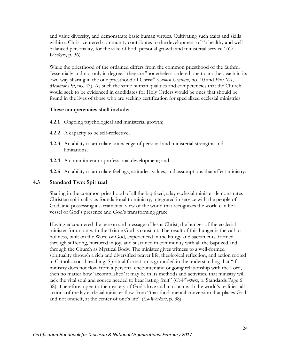and value diversity, and demonstrate basic human virtues. Cultivating such traits and skills within a Christ-centered community contributes to the development of "a healthy and wellbalanced personality, for the sake of both personal growth and ministerial service" (*Co-Workers*, p. 36).

While the priesthood of the ordained differs from the common priesthood of the faithful "essentially and not only in degree," they are "nonetheless ordered one to another, each in its own way sharing in the one priesthood of Christ" *(Lumen Gentium*, no. 10 and *Pius XII*, *Mediator Dei*, no. 43). As such the same human qualities and competencies that the Church would seek to be evidenced in candidates for Holy Orders would be ones that should be found in the lives of those who are seeking certification for specialized ecclesial ministries

#### **These competencies shall include:**

- **4.2.1** Ongoing psychological and ministerial growth;
- **4.2.2** A capacity to be self-reflective;
- **4.2.3** An ability to articulate knowledge of personal and ministerial strengths and limitations;
- **4.2.4** A commitment to professional development; and
- **4.2.5** An ability to articulate feelings, attitudes, values, and assumptions that affect ministry.

#### **4.3 Standard Two: Spiritual**

Sharing in the common priesthood of all the baptized, a lay ecclesial minister demonstrates Christian spirituality as foundational to ministry, integrated in service with the people of God, and possessing a sacramental view of the world that recognizes the world can be a vessel of God's presence and God's transforming grace.

Having encountered the person and message of Jesus Christ, the hunger of the ecclesial minister for union with the Triune God is constant. The result of this hunger is the call to holiness, built on the Word of God, experienced in the liturgy and sacraments, formed through suffering, nurtured in joy, and sustained in community with all the baptized and through the Church as Mystical Body. The minister gives witness to a well-formed spirituality through a rich and diversified prayer life, theological reflection, and action rooted in Catholic social teaching. Spiritual formation is grounded in the understanding that "if ministry does not flow from a personal encounter and ongoing relationship with the Lord, then no matter how 'accomplished' it may be in its methods and activities, that ministry will lack the vital soul and source needed to bear lasting fruit" (*Co-Workers*, p. Standards Page 6 38). Therefore, open to the mystery of God's love and in touch with the world's realities, all actions of the lay ecclesial minister flow from "that fundamental conversion that places God, and not oneself, at the center of one's life" (*Co-Workers*, p. 38).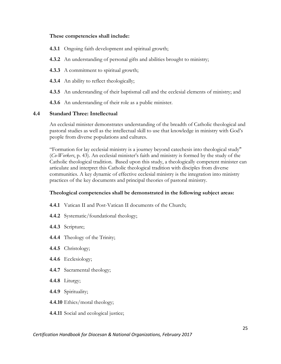#### **These competencies shall include:**

- **4.3.1** Ongoing faith development and spiritual growth;
- **4.3.2** An understanding of personal gifts and abilities brought to ministry;
- **4.3.3** A commitment to spiritual growth;
- **4.3.4** An ability to reflect theologically;
- **4.3.5** An understanding of their baptismal call and the ecclesial elements of ministry; and
- **4.3.6** An understanding of their role as a public minister.

#### **4.4 Standard Three: Intellectual**

An ecclesial minister demonstrates understanding of the breadth of Catholic theological and pastoral studies as well as the intellectual skill to use that knowledge in ministry with God's people from diverse populations and cultures.

"Formation for lay ecclesial ministry is a journey beyond catechesis into theological study" (*Co-Workers*, p. 43). An ecclesial minister's faith and ministry is formed by the study of the Catholic theological tradition. Based upon this study, a theologically competent minister can articulate and interpret this Catholic theological tradition with disciples from diverse communities. A key dynamic of effective ecclesial ministry is the integration into ministry practices of the key documents and principal theories of pastoral ministry.

#### **Theological competencies shall be demonstrated in the following subject areas:**

- **4.4.1** Vatican II and Post-Vatican II documents of the Church;
- **4.4.2** Systematic/foundational theology;
- **4.4.3** Scripture;
- **4.4.4** Theology of the Trinity;
- **4.4.5** Christology;
- **4.4.6** Ecclesiology;
- **4.4.7** Sacramental theology;
- **4.4.8** Liturgy;
- **4.4.9** Spirituality;
- **4.4.10** Ethics/moral theology;
- **4.4.11** Social and ecological justice;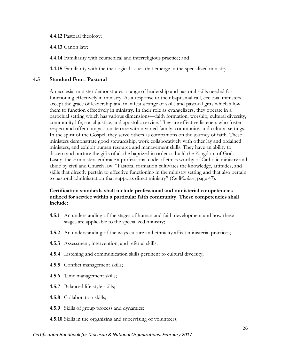#### **4.4.12** Pastoral theology;

**4.4.13** Canon law;

**4.4.14** Familiarity with ecumenical and interreligious practice; and

**4.4.15** Familiarity with the theological issues that emerge in the specialized ministry.

## **4.5 Standard Four: Pastoral**

An ecclesial minister demonstrates a range of leadership and pastoral skills needed for functioning effectively in ministry. As a response to their baptismal call, ecclesial ministers accept the grace of leadership and manifest a range of skills and pastoral gifts which allow them to function effectively in ministry. In their role as evangelizers, they operate in a parochial setting which has various dimensions—faith formation, worship, cultural diversity, community life, social justice, and apostolic service. They are effective listeners who foster respect and offer compassionate care within varied family, community, and cultural settings. In the spirit of the Gospel, they serve others as companions on the journey of faith. These ministers demonstrate good stewardship, work collaboratively with other lay and ordained ministers, and exhibit human resource and management skills. They have an ability to discern and nurture the gifts of all the baptized in order to build the Kingdom of God. Lastly, these ministers embrace a professional code of ethics worthy of Catholic ministry and abide by civil and Church law. "Pastoral formation cultivates the knowledge, attitudes, and skills that directly pertain to effective functioning in the ministry setting and that also pertain to pastoral administration that supports direct ministry" (*Co-Workers*, page 47).

## **Certification standards shall include professional and ministerial competencies utilized for service within a particular faith community. These competencies shall include:**

- **4.5.1** An understanding of the stages of human and faith development and how these stages are applicable to the specialized ministry;
- **4.5.2** An understanding of the ways culture and ethnicity affect ministerial practices;
- **4.5.3** Assessment, intervention, and referral skills;
- **4.5.4** Listening and communication skills pertinent to cultural diversity;
- **4.5.5** Conflict management skills;
- **4.5.6** Time management skills;
- **4.5.7** Balanced life style skills;
- **4.5.8** Collaboration skills;
- **4.5.9** Skills of group process and dynamics;
- **4.5.10** Skills in the organizing and supervising of volunteers;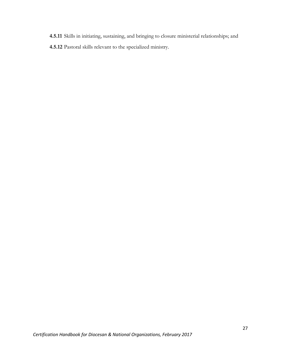**4.5.11** Skills in initiating, sustaining, and bringing to closure ministerial relationships; and **4.5.12** Pastoral skills relevant to the specialized ministry.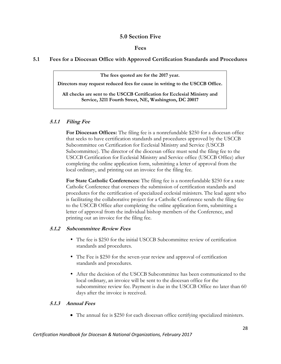## **5.0 Section Five**

#### **Fees**

## **5.1 Fees for a Diocesan Office with Approved Certification Standards and Procedures**

**The fees quoted are for the 2017 year.** 

**Directors may request reduced fees for cause in writing to the USCCB Office.**

**All checks are sent to the USCCB Certification for Ecclesial Ministry and Service, 3211 Fourth Street, NE, Washington, DC 20017**

## **5.1.1 Filing Fee**

**For Diocesan Offices:** The filing fee is a nonrefundable \$250 for a diocesan office that seeks to have certification standards and procedures approved by the USCCB Subcommittee on Certification for Ecclesial Ministry and Service (USCCB Subcommittee). The director of the diocesan office must send the filing fee to the USCCB Certification for Ecclesial Ministry and Service office (USCCB Office) after completing the online application form, submitting a letter of approval from the local ordinary, and printing out an invoice for the filing fee.

**For State Catholic Conferences:** The filing fee is a nonrefundable \$250 for a state Catholic Conference that oversees the submission of certification standards and procedures for the certification of specialized ecclesial ministers. The lead agent who is facilitating the collaborative project for a Catholic Conference sends the filing fee to the USCCB Office after completing the online application form, submitting a letter of approval from the individual bishop members of the Conference, and printing out an invoice for the filing fee.

#### **5.1.2 Subcommittee Review Fees**

- The fee is \$250 for the initial USCCB Subcommittee review of certification standards and procedures.
- The Fee is \$250 for the seven-year review and approval of certification standards and procedures.
- After the decision of the USCCB Subcommittee has been communicated to the local ordinary, an invoice will be sent to the diocesan office for the subcommittee review fee. Payment is due in the USCCB Office no later than 60 days after the invoice is received.

#### **5.1.3 Annual Fees**

The annual fee is \$250 for each diocesan office certifying specialized ministers.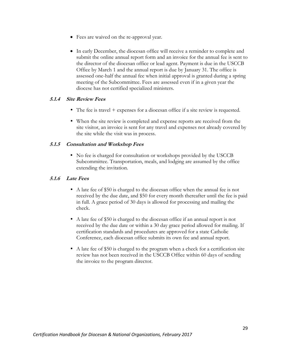- Fees are waived on the re-approval year.
- In early December, the diocesan office will receive a reminder to complete and submit the online annual report form and an invoice for the annual fee is sent to the director of the diocesan office or lead agent. Payment is due in the USCCB Office by March 1 and the annual report is due by January 31. The office is assessed one-half the annual fee when initial approval is granted during a spring meeting of the Subcommittee. Fees are assessed even if in a given year the diocese has not certified specialized ministers.

## **5.1.4 Site Review Fees**

- The fee is travel + expenses for a diocesan office if a site review is requested.
- When the site review is completed and expense reports are received from the site visitor, an invoice is sent for any travel and expenses not already covered by the site while the visit was in process.

#### **5.1.5 Consultation and Workshop Fees**

• No fee is charged for consultation or workshops provided by the USCCB Subcommittee. Transportation, meals, and lodging are assumed by the office extending the invitation.

#### **5.1.6 Late Fees**

- A late fee of \$50 is charged to the diocesan office when the annual fee is not received by the due date, and \$50 for every month thereafter until the fee is paid in full. A grace period of 30 days is allowed for processing and mailing the check.
- A late fee of \$50 is charged to the diocesan office if an annual report is not received by the due date or within a 30 day grace period allowed for mailing. If certification standards and procedures are approved for a state Catholic Conference, each diocesan office submits its own fee and annual report.
- A late fee of \$50 is charged to the program when a check for a certification site review has not been received in the USCCB Office within 60 days of sending the invoice to the program director.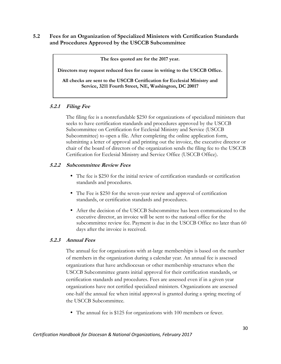## **5.2 Fees for an Organization of Specialized Ministers with Certification Standards and Procedures Approved by the USCCB Subcommittee**

**The fees quoted are for the 2017 year.** 

**Directors may request reduced fees for cause in writing to the USCCB Office.**

**All checks are sent to the USCCB Certification for Ecclesial Ministry and Service, 3211 Fourth Street, NE, Washington, DC 20017**

## **5.2.1 Filing Fee**

The filing fee is a nonrefundable \$250 for organizations of specialized ministers that seeks to have certification standards and procedures approved by the USCCB Subcommittee on Certification for Ecclesial Ministry and Service (USCCB Subcommittee) to open a file. After completing the online application form, submitting a letter of approval and printing out the invoice, the executive director or chair of the board of directors of the organization sends the filing fee to the USCCB Certification for Ecclesial Ministry and Service Office (USCCB Office).

## **5.2.2 Subcommittee Review Fees**

- The fee is \$250 for the initial review of certification standards or certification standards and procedures.
- The Fee is \$250 for the seven-year review and approval of certification standards, or certification standards and procedures.
- After the decision of the USCCB Subcommittee has been communicated to the executive director, an invoice will be sent to the national office for the subcommittee review fee. Payment is due in the USCCB Office no later than 60 days after the invoice is received.

#### **5.2.3 Annual Fees**

The annual fee for organizations with at-large memberships is based on the number of members in the organization during a calendar year. An annual fee is assessed organizations that have archdiocesan or other membership structures when the USCCB Subcommittee grants initial approval for their certification standards, or certification standards and procedures. Fees are assessed even if in a given year organizations have not certified specialized ministers. Organizations are assessed one-half the annual fee when initial approval is granted during a spring meeting of the USCCB Subcommittee.

The annual fee is \$125 for organizations with 100 members or fewer.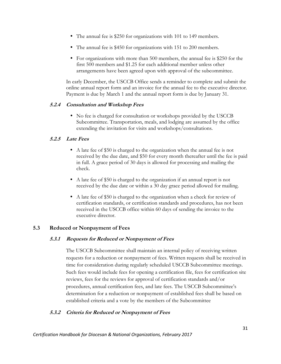- The annual fee is \$250 for organizations with 101 to 149 members.
- The annual fee is \$450 for organizations with 151 to 200 members.
- For organizations with more than 500 members, the annual fee is \$250 for the first 500 members and \$1.25 for each additional member unless other arrangements have been agreed upon with approval of the subcommittee.

In early December, the USCCB Office sends a reminder to complete and submit the online annual report form and an invoice for the annual fee to the executive director. Payment is due by March 1 and the annual report form is due by January 31.

## **5.2.4 Consultation and Workshop Fees**

• No fee is charged for consultation or workshops provided by the USCCB Subcommittee. Transportation, meals, and lodging are assumed by the office extending the invitation for visits and workshops/consultations.

## **5.2.5 Late Fees**

- A late fee of \$50 is charged to the organization when the annual fee is not received by the due date, and \$50 for every month thereafter until the fee is paid in full. A grace period of 30 days is allowed for processing and mailing the check.
- A late fee of \$50 is charged to the organization if an annual report is not received by the due date or within a 30 day grace period allowed for mailing.
- A late fee of \$50 is charged to the organization when a check for review of certification standards, or certification standards and procedures, has not been received in the USCCB office within 60 days of sending the invoice to the executive director.

## **5.3 Reduced or Nonpayment of Fees**

## **5.3.1 Requests for Reduced or Nonpayment of Fees**

The USCCB Subcommittee shall maintain an internal policy of receiving written requests for a reduction or nonpayment of fees. Written requests shall be received in time for consideration during regularly scheduled USCCB Subcommittee meetings. Such fees would include fees for opening a certification file, fees for certification site reviews, fees for the reviews for approval of certification standards and/or procedures, annual certification fees, and late fees. The USCCB Subcommittee's determination for a reduction or nonpayment of established fees shall be based on established criteria and a vote by the members of the Subcommittee

## **5.3.2 Criteria for Reduced or Nonpayment of Fees**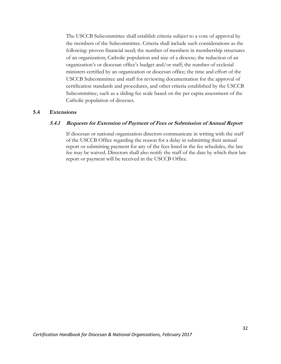The USCCB Subcommittee shall establish criteria subject to a vote of approval by the members of the Subcommittee. Criteria shall include such considerations as the following: proven financial need; the number of members in membership structures of an organization; Catholic population and size of a diocese; the reduction of an organization's or diocesan office's budget and/or staff; the number of ecclesial ministers certified by an organization or diocesan office; the time and effort of the USCCB Subcommittee and staff for reviewing documentation for the approval of certification standards and procedures, and other criteria established by the USCCB Subcommittee, such as a sliding fee scale based on the per capita assessment of the Catholic population of dioceses.

#### **5.4 Extensions**

#### **5.4.1 Requests for Extension of Payment of Fees or Submission of Annual Report**

If diocesan or national organization directors communicate in writing with the staff of the USCCB Office regarding the reason for a delay in submitting their annual report or submitting payment for any of the fees listed in the fee schedules, the late fee may be waived. Directors shall also notify the staff of the date by which their late report or payment will be received in the USCCB Office.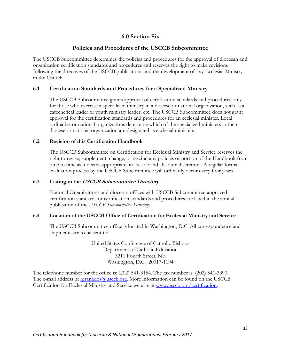## **6.0 Section Six**

## **Policies and Procedures of the USCCB Subcommittee**

The USCCB Subcommittee determines the policies and procedures for the approval of diocesan and organization certification standards and procedures and reserves the right to make revisions following the directives of the USCCB publications and the development of Lay Ecclesial Ministry in the Church.

## **6.1 Certification Standards and Procedures for a Specialized Ministry**

The USCCB Subcommittee grants approval of certification standards and procedures only for those who exercise a specialized ministry in a diocese or national organization, such as a catechetical leader or youth ministry leader, etc. The USCCB Subcommittee does not grant approval for the certification standards and procedures for an ecclesial minister. Local ordinaries or national organizations determine which of the specialized ministers in their diocese or national organization are designated as ecclesial ministers.

#### **6.2 Revision of this Certification Handbook**

The USCCB Subcommittee on Certification for Ecclesial Ministry and Service reserves the right to revise, supplement, change, or rescind any policies or portion of the Handbook from time to time as it deems appropriate, in its sole and absolute discretion. A regular formal evaluation process by the USCCB Subcommittee will ordinarily occur every four years.

#### **6.3 Listing in the USCCB Subcommittee Directory**

National Organizations and diocesan offices with USCCB Subcommittee-approved certification standards or certification standards and procedures are listed in the annual publication of the *USCCB Subcommittee Directory.*

#### **6.4 Location of the USCCB Office of Certification for Ecclesial Ministry and Service**

The USCCB Subcommittee office is located in Washington, D.C. All correspondence and shipments are to be sent to:

> United States Conference of Catholic Bishops Department of Catholic Education 3211 Fourth Street, NE Washington, D.C. 20017-1194

The telephone number for the office is: (202) 541-3154. The fax number is: (202) 541-3390. The e-mail address is: regranados@usccb.org. More information can be found on the USCCB Certification for Ecclesial Ministry and Service website at [www.usccb.org/certification.](http://www.usccb.org/certification)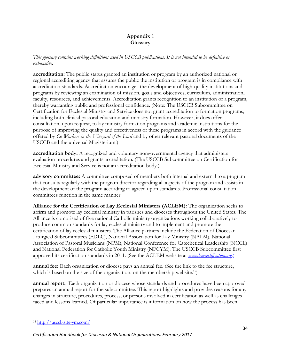## **Appendix 1 Glossary**

*This glossary contains working definitions used in USCCB publications. It is not intended to be definitive or exhaustive.* 

**accreditation:** The public status granted an institution or program by an authorized national or regional accrediting agency that assures the public the institution or program is in compliance with accreditation standards. Accreditation encourages the development of high-quality institutions and programs by reviewing an examination of mission, goals and objectives, curriculum, administration, faculty, resources, and achievements. Accreditation grants recognition to an institution or a program, thereby warranting public and professional confidence. (Note: The USCCB Subcommittee on Certification for Ecclesial Ministry and Service does not grant accreditation to formation programs, including both clinical pastoral education and ministry formation. However, it does offer consultation, upon request, to lay ministry formation programs and academic institutions for the purpose of improving the quality and effectiveness of these programs in accord with the guidance offered by *Co-Workers in the Vineyard of the Lord* and by other relevant pastoral documents of the USCCB and the universal Magisterium.)

**accreditation body:** A recognized and voluntary nongovernmental agency that administers evaluation procedures and grants accreditation. (The USCCB Subcommittee on Certification for Ecclesial Ministry and Service is not an accreditation body.)

**advisory committee:** A committee composed of members both internal and external to a program that consults regularly with the program director regarding all aspects of the program and assists in the development of the program according to agreed upon standards. Professional consultation committees function in the same manner.

**Alliance for the Certification of Lay Ecclesial Ministers (ACLEM):** The organization seeks to affirm and promote lay ecclesial ministry in parishes and dioceses throughout the United States. The Alliance is comprised of five national Catholic ministry organizations working collaboratively to produce common standards for lay ecclesial ministry and to implement and promote the certification of lay ecclesial ministers. The Alliance partners include the Federation of Diocesan Liturgical Subcommittees (FDLC), National Association for Lay Ministry (NALM), National Association of Pastoral Musicians (NPM), National Conference for Catechetical Leadership (NCCL) and National Federation for Catholic Youth Ministry (NFCYM). The USCCB Subcommittee first approved its certification standards in 2011. (See the ACLEM website at *[www.lemcertification.org](http://www.lemcertification.org/)*.)

**annual fee:** Each organization or diocese pays an annual fee. (See the link to the fee structure, which is based on the size of the organization, on the membership website.<sup>15</sup>)

**annual report:** Each organization or diocese whose standards and procedures have been approved prepares an annual report for the subcommittee. This report highlights and provides reasons for any changes in structure, procedures, process, or persons involved in certification as well as challenges faced and lessons learned. Of particular importance is information on how the process has been

<sup>15</sup> <http://usccb.site-ym.com/>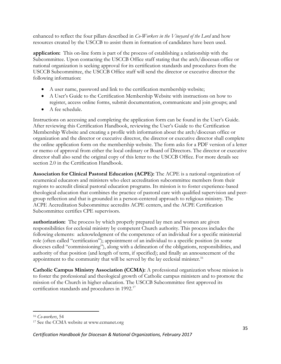enhanced to reflect the four pillars described in *Co-Workers in the Vineyard of the Lord* and how resources created by the USCCB to assist them in formation of candidates have been used.

**application:** This on-line form is part of the process of establishing a relationship with the Subcommittee. Upon contacting the USCCB Office staff stating that the arch/diocesan office or national organization is seeking approval for its certification standards and procedures from the USCCB Subcommittee, the USCCB Office staff will send the director or executive director the following information:

- A user name, password and link to the certification membership website;
- A User's Guide to the Certification Membership Website with instructions on how to register, access online forms, submit documentation, communicate and join groups; and
- A fee schedule.

Instructions on accessing and completing the application form can be found in the User's Guide. After reviewing this Certification Handbook, reviewing the User's Guide to the Certification Membership Website and creating a profile with information about the arch/diocesan office or organization and the director or executive director, the director or executive director shall complete the online application form on the membership website. The form asks for a PDF version of a letter or memo of approval from either the local ordinary or Board of Directors. The director or executive director shall also send the original copy of this letter to the USCCB Office. For more details see section 2.0 in the Certification Handbook.

**Association for Clinical Pastoral Education (ACPE):** The ACPE is a national organization of ecumenical educators and ministers who elect accreditation subcommittee members from their regions to accredit clinical pastoral education programs. Its mission is to foster experience-based theological education that combines the practice of pastoral care with qualified supervision and peergroup reflection and that is grounded in a person-centered approach to religious ministry. The ACPE Accreditation Subcommittee accredits ACPE centers, and the ACPE Certification Subcommittee certifies CPE supervisors.

**authorization:** The process by which properly prepared lay men and women are given responsibilities for ecclesial ministry by competent Church authority. This process includes the following elements: acknowledgment of the competence of an individual for a specific ministerial role (often called "certification"); appointment of an individual to a specific position (in some dioceses called "commissioning"), along with a delineation of the obligations, responsibilities, and authority of that position (and length of term, if specified); and finally an announcement of the appointment to the community that will be served by the lay ecclesial minister.<sup>16</sup>

**Catholic Campus Ministry Association (CCMA):** A professional organization whose mission is to foster the professional and theological growth of Catholic campus ministers and to promote the mission of the Church in higher education. The USCCB Subcommittee first approved its certification standards and procedures in 1992.<sup>17</sup>

<sup>16</sup> *Co-workers*, 54

<sup>17</sup> See the CCMA website at www.ccmanet.org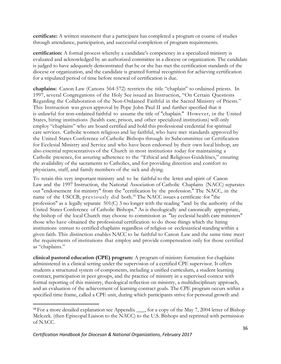**certificate:** A written statement that a participant has completed a program or course of studies through attendance, participation, and successful completion of program requirements.

**certification:** A formal process whereby a candidate's competency in a specialized ministry is evaluated and acknowledged by an authorized committee in a diocese or organization. The candidate is judged to have adequately demonstrated that he or she has met the certification standards of the diocese or organization, and the candidate is granted formal recognition for achieving certification for a stipulated period of time before renewal of certification is due.

**chaplains:** Canon Law (Canons 564-572) restricts the title "chaplain" to ordained priests. In 1997, several Congregations of the Holy See issued an Instruction, "On Certain Questions Regarding the Collaboration of the Non-Ordained Faithful in the Sacred Ministry of Priests." This Instruction was given approval by Pope John Paul II and further specified that it is unlawful for non-ordained faithful to assume the title of "chaplain." However, in the United States, hiring institutions (health care, prison, and other specialized institutions) will only employ "chaplains" who are board certified and hold this professional credential for spiritual care services. Catholic women religious and lay faithful, who have met standards approved by the United States Conference of Catholic Bishops through its Subcommittee on Certification for Ecclesial Ministry and Service and who have been endorsed by their own local bishop, are also essential representatives of the Church in most institutions today for maintaining a Catholic presence, for assuring adherence to the "Ethical and Religious Guidelines," ensuring the availability of the sacraments to Catholics, and for providing direction and comfort to physicians, staff, and family members of the sick and dying.

To retain this very important ministry and to be faithful to the letter and spirit of Canon Law and the 1997 Instruction, the National Association of Catholic Chaplains (NACC) separates out "endorsement for ministry" from the "certification by the profession." The NACC, in the name of the USCCB, previously did both.<sup>18</sup> The NACC issues a certificate for "the profession" as a legally separate 501(C) 3 no longer with the reading "and by the authority of the United States Conference of Catholic Bishops." As is theologically and canonically appropriate, the bishop of the local Church may choose to commission as "lay ecclesial health care ministers" those who have obtained the professional certification to do those things which the hiring institutions entrust to certified chaplains regardless of religion or ecclesiastical standing within a given faith. This distinction enables NACC to be faithful to Canon Law and the same time meet the requirements of institutions that employ and provide compensation only for those certified as "chaplains."

**clinical pastoral education (CPE) program:** A program of ministry formation for chaplains administered in a clinical setting under the supervision of a certified CPE supervisor. It offers students a structured system of components, including a unified curriculum, a student learning contract, participation in peer groups, and the practice of ministry in a supervised context with formal reporting of this ministry, theological reflection on ministry, a multidisciplinary approach, and an evaluation of the achievement of learning contract goals. The CPE program occurs within a specified time frame, called a CPE unit, during which participants strive for personal growth and

<sup>&</sup>lt;sup>18</sup> For a more detailed explanation see Appendix <sub>\_\_\_</sub>, for a copy of the May 7, 2004 letter of Bishop Melczek. (then Episcopal Liaison to the NACC) to the U.S. Bishops and reprinted with permission of NACC.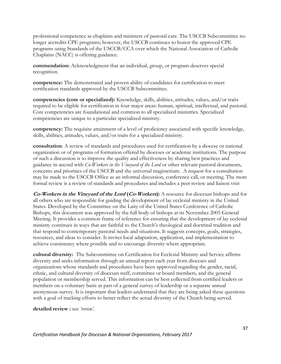professional competence as chaplains and ministers of pastoral care. The USCCB Subcommittee no longer accredits CPE programs; however, the USCCB continues to honor the approved CPE programs using Standards of the USCCB/CCA over which the National Association of Catholic Chaplains (NACC) is offering guidance.

**commendation:** Acknowledgment that an individual, group, or program deserves special recognition.

**competence:** The demonstrated and proven ability of candidates for certification to meet certification standards approved by the USCCB Subcommittee.

**competencies (core or specialized):** Knowledge, skills, abilities, attitudes, values, and/or traits required to be eligible for certification in four major areas: human, spiritual, intellectual, and pastoral. Core competencies are foundational and common to all specialized ministries. Specialized competencies are unique to a particular specialized ministry.

**competency:** The requisite attainment of a level of proficiency associated with specific knowledge, skills, abilities, attitudes, values, and/or traits for a specialized ministry.

**consultation**: A review of standards and procedures used for certification by a diocese or national organization or of programs of formation offered by dioceses or academic institutions. The purpose of such a discussion is to improve the quality and effectiveness by sharing best practices and guidance in accord with *Co-Workers in the Vineyard of the Lord* or other relevant pastoral documents, concerns and priorities of the USCCB and the universal magisterium. A request for a consultation may be made to the USCCB Office as an informal discussion, conference call, or meeting. The more formal review is a review of standards and procedures and includes a peer review and liaison visit

**Co-Workers in the Vineyard of the Lord (Co-Workers):** A resource for diocesan bishops and for all others who are responsible for guiding the development of lay ecclesial ministry in the United States. Developed by the Committee on the Laity of the United States Conference of Catholic Bishops, this document was approved by the full body of bishops at its November 2005 General Meeting. It provides a common frame of reference for ensuring that the development of lay ecclesial ministry continues in ways that are faithful to the Church's theological and doctrinal tradition and that respond to contemporary pastoral needs and situations. It suggests concepts, goals, strategies, resources, and ideas to consider. It invites local adaptation, application, and implementation to achieve consistency where possible and to encourage diversity where appropriate.

**cultural diversity:** The Subcommittee on Certification for Ecclesial Ministry and Service affirms diversity and seeks information through an annual report each year from dioceses and organizations whose standards and procedures have been approved regarding the gender, racial, ethnic, and cultural diversity of diocesan staff, committee or board members, and the general population or membership served. This information can be best collected from certified leaders or members on a voluntary basis as part of a general survey of leadership or a separate annual anonymous survey. It is important that leaders understand that they are being asked these questions with a goal of tracking efforts to better reflect the actual diversity of the Church being served.

**detailed review :** see *'review'.*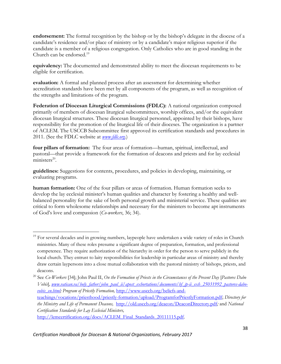**endorsement:** The formal recognition by the bishop or by the bishop's delegate in the diocese of a candidate's residence and/or place of ministry or by a candidate's major religious superior if the candidate is a member of a religious congregation. Only Catholics who are in good standing in the Church can be endorsed.<sup>19</sup>

**equivalency:** The documented and demonstrated ability to meet the diocesan requirements to be eligible for certification.

**evaluation:** A formal and planned process after an assessment for determining whether accreditation standards have been met by all components of the program, as well as recognition of the strengths and limitations of the program.

**Federation of Diocesan Liturgical Commissions (FDLC):** A national organization composed primarily of members of diocesan liturgical subcommittees, worship offices, and/or the equivalent diocesan liturgical structures. These diocesan liturgical personnel, appointed by their bishops, have responsibility for the promotion of the liturgical life of their dioceses. The organization is a partner of ACLEM. The USCCB Subcommittee first approved its certification standards and procedures in 2011. (See the FDLC website at *[www.fdlc.org](http://www.fdlc.org/)*.)

**four pillars of formation:** The four areas of formation—human, spiritual, intellectual, and pastoral—that provide a framework for the formation of deacons and priests and for lay ecclesial  $ministers<sup>20</sup>$ .

**guidelines:** Suggestions for contents, procedures, and policies in developing, maintaining, or evaluating programs.

**human formation:** One of the four pillars or areas of formation. Human formation seeks to develop the lay ecclesial minister's human qualities and character by fostering a healthy and wellbalanced personality for the sake of both personal growth and ministerial service. These qualities are critical to form wholesome relationships and necessary for the ministers to become apt instruments of God's love and compassion (*Co-workers*, 36; 34).

 $\overline{a}$ <sup>19</sup> For several decades and in growing numbers, laypeople have undertaken a wide variety of roles in Church ministries. Many of these roles presume a significant degree of preparation, formation, and professional competence. They require authorization of the hierarchy in order for the person to serve publicly in the local church. They entrust to laity responsibilities for leadership in particular areas of ministry and thereby draw certain laypersons into a close mutual collaboration with the pastoral ministry of bishops, priests, and deacons.

<sup>20</sup> See *Co-Workers* [34]; John Paul II, *On the Formation of Priests in the Circumstances of the Present Day* [*Pastores Dabo Vobis*]*, [www.vatican.va/holy\\_father/john\\_paul\\_ii/apost\\_exhortations/documents/hf\\_jp-ii\\_exh\\_25031992\\_pastores-dabo](http://www.vatican.va/holy_father/john_paul_ii/apost_exhortations/documents/hf_jp-ii_exh_25031992_pastores-dabo-vobis_en.html)[vobis\\_en.html;](http://www.vatican.va/holy_father/john_paul_ii/apost_exhortations/documents/hf_jp-ii_exh_25031992_pastores-dabo-vobis_en.html) Program of Priestly Formation,* [http://www.usccb.org/beliefs-and](http://www.usccb.org/beliefs-and-teachings/vocations/priesthood/priestly-formation/upload/ProgramforPriestlyFormation.pdf)[teachings/vocations/priesthood/priestly-formation/upload/ProgramforPriestlyFormation.pdf;](http://www.usccb.org/beliefs-and-teachings/vocations/priesthood/priestly-formation/upload/ProgramforPriestlyFormation.pdf) *Directory for the Ministry and Life of Permanent Deacons,* <http://old.usccb.org/deacon/DeaconDirectory.pdf>*;* and *National Certification Standards for Lay Ecclesial Ministers,*  [http://lemcertification.org/docs/ACLEM\\_Final\\_Standards\\_20111115.pdf.](http://lemcertification.org/docs/ACLEM_Final_Standards_20111115.pdf)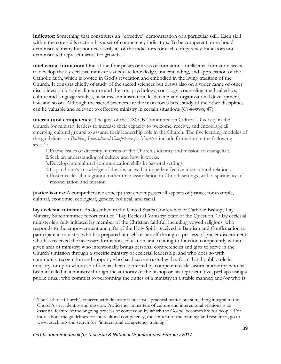**indicator:** Something that constitutes an "effective" demonstration of a particular skill. Each skill within the core skills section has a set of competency indicators. To be competent, one should demonstrate many but not necessarily all of the indicators for each competency Indicators not demonstrated represent areas for growth.

**intellectual formation:** One of the four pillars or areas of formation. Intellectual formation seeks to develop the lay ecclesial minister's adequate knowledge, understanding, and appreciation of the Catholic faith, which is rooted in God's revelation and embodied in the living tradition of the Church. It consists chiefly of study of the sacred sciences but draws also on a wider range of other disciplines: philosophy, literature and the arts, psychology, sociology, counseling, medical ethics, culture and language studies, business administration, leadership and organizational development, law, and so on. Although the sacred sciences are the main focus here, study of the other disciplines can be valuable and relevant to effective ministry in certain situations (*Co-workers*, 47).

**intercultural competency:** The goal of the USCCB Committee on Cultural Diversity in the Church for ministry leaders to increase their capacity to welcome, receive, and encourage all emerging cultural groups to assume their leadership role in the Church. The five learning modules of the guidelines on *Building Intercultural Competence for Ministers* include formation in the following  $\arccos^{21}$ :

- 1.Frame issues of diversity in terms of the Church's identity and mission to evangelize.
- 2.Seek an understanding of culture and how it works.
- 3.Develop intercultural communication skills in pastoral settings.
- 4.Expand one's knowledge of the obstacles that impede effective intercultural relations.
- 5.Foster ecclesial integration rather than assimilation in Church settings, with a spirituality of reconciliation and mission.

**justice issues:** A comprehensive concept that encompasses all aspects of justice; for example, cultural, economic, ecological, gender, political, and racial.

**lay ecclesial minister:** As described in the United States Conference of Catholic Bishops Lay Ministry Subcommittee report entitled "Lay Ecclesial Ministry: State of the Question," a lay ecclesial minister is a fully initiated lay member of the Christian faithful, including vowed religious, who responds to the empowerment and gifts of the Holy Spirit received in Baptism and Confirmation to participate in ministry; who has prepared himself or herself through a process of prayer discernment; who has received the necessary formation, education, and training to function competently within a given area of ministry; who intentionally brings personal competencies and gifts to serve in the Church's mission through a specific ministry of ecclesial leadership, and who does so with community recognition and support; who has been entrusted with a formal and public role in ministry, or upon whom an office has been conferred by competent ecclesiastical authority; who has been installed in a ministry through the authority of the bishop or his representative, perhaps using a public ritual; who commits to performing the duties of a ministry in a stable manner; and/or who is

 $\overline{a}$ <sup>21</sup> The Catholic Church's concern with diversity is not just a practical matter but something integral to the Church's very identity and mission. Proficiency in matters of culture and intercultural relations is an essential feature of the ongoing process of conversion by which the Gospel becomes life for people. For more about the guidelines for intercultural competency, the content of the training, and resources, go to www.usccb.org and search for "intercultural competency training."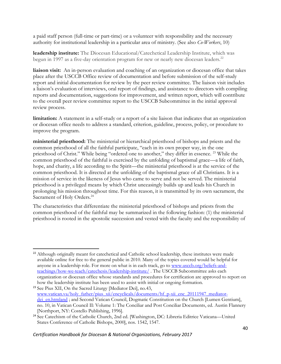a paid staff person (full-time or part-time) or a volunteer with responsibility and the necessary authority for institutional leadership in a particular area of ministry. (See also *Co-Workers*, 10)

**leadership institute:** The Diocesan Educational/Catechetical Leadership Institute, which was begun in 1997 as a five-day orientation program for new or nearly new diocesan leaders.<sup>22</sup>

**liaison visit:** An in-person evaluation and coaching of an organization or diocesan office that takes place after the USCCB Office review of documentation and before submission of the self-study report and initial documentation for review by the peer review committee. The liaison visit includes a liaison's evaluation of interviews, oral report of findings, and assistance to directors with compiling reports and documentation, suggestions for improvement, and written report, which will contribute to the overall peer review committee report to the USCCB Subcommittee in the initial approval review process.

**limitation:** A statement in a self-study or a report of a site liaison that indicates that an organization or diocesan office needs to address a standard, criterion, guideline, process, policy, or procedure to improve the program.

**ministerial priesthood:** The ministerial or hierarchical priesthood of bishops and priests and the common priesthood of all the faithful participate, "each in its own proper way, in the one priesthood of Christ." While being "ordered one to another," they differ in essence. <sup>23</sup> While the common priesthood of the faithful is exercised by the unfolding of baptismal grace—a life of faith, hope, and charity, a life according to the Spirit—the ministerial priesthood is at the service of the common priesthood. It is directed at the unfolding of the baptismal grace of all Christians. It is a mission of service in the likeness of Jesus who came to serve and not be served. The ministerial priesthood is a privileged means by which Christ unceasingly builds up and leads his Church in prolonging his mission throughout time. For this reason, it is transmitted by its own sacrament, the Sacrament of Holy Orders.<sup>24</sup>

The characteristics that differentiate the ministerial priesthood of bishops and priests from the common priesthood of the faithful may be summarized in the following fashion: (1) the ministerial priesthood is rooted in the apostolic succession and vested with the faculty and the responsibility of

 $\overline{\phantom{a}}$ 

<sup>&</sup>lt;sup>22</sup> Although originally meant for catechetical and Catholic school leadership, these institutes were made available online for free to the general public in 2010. Many of the topics covered would be helpful for anyone in a leadership role. For more on what is in each track, go to [www.usccb.org/beliefs-and](http://www.usccb.org/beliefs-and-teachings/how-we-teach/catechesis/leadership-institute/)[teachings/how-we-teach/catechesis/leadership-institute/](http://www.usccb.org/beliefs-and-teachings/how-we-teach/catechesis/leadership-institute/) . The USCCB Subcommittee asks each organization or diocesan office whose standards and procedures for certification are approved to report on how the leadership institute has been used to assist with initial or ongoing formation.

<sup>23</sup> See Pius XII, On the Sacred Liturgy [Mediator Dei], no.43, [www.vatican.va/holy\\_father/pius\\_xii/encyclicals/documents/hf\\_p-xii\\_enc\\_20111947\\_mediator](http://www.vatican.va/holy_father/pius_xii/encyclicals/documents/hf_p-xii_enc_20111947_mediator-dei_en.htmland)dei en.htmland ; and Second Vatican Council, Dogmatic Constitution on the Church [Lumen Gentium], no. 10, in Vatican Council II: Volume 1: The Conciliar and Post Conciliar Documents, ed. Austin Flannery [Northport, NY: Costello Publishing, 1996].

<sup>24</sup> See Catechism of the Catholic Church, 2nd ed. [Washington, DC: Libreria Editrice Vaticana—United States Conference of Catholic Bishops, 2000], nos. 1542, 1547.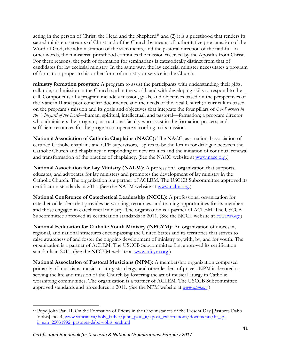acting in the person of Christ, the Head and the Shepherd<sup>25</sup> and  $(2)$  it is a priesthood that renders its sacred ministers servants of Christ and of the Church by means of authoritative proclamation of the Word of God, the administration of the sacraments, and the pastoral direction of the faithful. In other words, the ministerial priesthood continues the mission received by the Apostles from Christ. For these reasons, the path of formation for seminarians is categorically distinct from that of candidates for lay ecclesial ministry. In the same way, the lay ecclesial minister necessitates a program of formation proper to his or her form of ministry or service in the Church.

**ministry formation program:** A program to assist the participants with understanding their gifts, call, role, and mission in the Church and in the world, and with developing skills to respond to the call. Components of a program include a mission, goals, and objectives based on the perspectives of the Vatican II and post-conciliar documents, and the needs of the local Church; a curriculum based on the program's mission and its goals and objectives that integrate the four pillars of *Co-Workers in the Vineyard of the Lord*—human, spiritual, intellectual, and pastoral—formation; a program director who administers the program; instructional faculty who assist in the formation process; and sufficient resources for the program to operate according to its mission.

**National Association of Catholic Chaplains (NACC):** The NACC, as a national association of certified Catholic chaplains and CPE supervisors, aspires to be the forum for dialogue between the Catholic Church and chaplaincy in responding to new realities and the initiation of continual renewal and transformation of the practice of chaplaincy. (See the NACC website at [www.nacc.org.](http://www.nacc.org/))

**National Association for Lay Ministry (NALM):** A professional organization that supports, educates, and advocates for lay ministers and promotes the development of lay ministry in the Catholic Church. The organization is a partner of ACLEM. The USCCB Subcommittee approved its certification standards in 2011. (See the NALM website at [www.nalm.org.](http://www.nalm.org/))

**National Conference of Catechetical Leadership (NCCL):** A professional organization for catechetical leaders that provides networking, resources, and training opportunities for its members and those engaged in catechetical ministry. The organization is a partner of ACLEM. The USCCB Subcommittee approved its certification standards in 2011. (See the NCCL website at *[www.nccl.org](http://www.nccl.org/)*.)

**National Federation for Catholic Youth Ministry (NFCYM):** An organization of diocesan, regional, and national structures encompassing the United States and its territories that strives to raise awareness of and foster the ongoing development of ministry to, with, by, and for youth. The organization is a partner of ACLEM. The USCCB Subcommittee first approved its certification standards in 2011. (See the NFCYM website at [www.nfcym.org.](http://www.nfcym.org/))

**National Association of Pastoral Musicians (NPM):** A membership organization composed primarily of musicians, musician-liturgists, clergy, and other leaders of prayer. NPM is devoted to serving the life and mission of the Church by fostering the art of musical liturgy in Catholic worshiping communities. The organization is a partner of ACLEM. The USCCB Subcommittee approved standards and procedures in 2011. (See the NPM website at *[www.npm.org](http://www.npm.org/)*.)

<sup>&</sup>lt;sup>25</sup> Pope John Paul II, On the Formation of Priests in the Circumstances of the Present Day [Pastores Dabo Vobis], no. 4, [www.vatican.va/holy\\_father/john\\_paul\\_ii/apost\\_exhortations/documents/hf\\_jp](http://www.vatican.va/holy_father/john_paul_ii/apost_exhortations/documents/hf_jp-ii_exh_25031992_pastores-dabo-vobis_en.html)ii exh 25031992 pastores-dabo-vobis en.html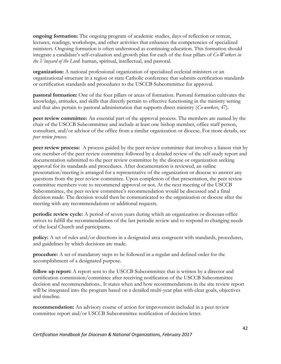**ongoing formation:** The ongoing program of academic studies, days of reflection or retreat, lectures, readings, workshops, and other activities that enhances the competencies of specialized ministers. Ongoing formation is often understood as continuing education. This formation should integrate a candidate's self-evaluation and growth plan for each of the four pillars of *Co-Workers in the Vineyard of the Lord*: human, spiritual, intellectual, and pastoral.

**organization:** A national professional organization of specialized ecclesial ministers or an organizational structure in a region or state Catholic conference that submits certification standards or certification standards and procedures to the USCCB Subcommittee for approval.

**pastoral formation:** One of the four pillars or areas of formation. Pastoral formation cultivates the knowledge, attitudes, and skills that directly pertain to effective functioning in the ministry setting and that also pertain to pastoral administration that supports direct ministry (*Co-workers*, 47).

**peer review committee:** An essential part of the approval process. The members are named by the chair of the USCCB Subcommittee and include at least one bishop member, office staff person, consultant, and/or advisor of the office from a similar organization or diocese. For more details, see *peer review process*.

**peer review process:** A process guided by the peer review committee that involves a liaison visit by one member of the peer review committee followed by a detailed review of the self-study report and documentation submitted to the peer review committee by the diocese or organization seeking approval for its standards and procedures. After documentation is reviewed, an online presentation/meeting is arranged for a representative of the organization or diocese to answer any questions from the peer review committee. Upon completion of that presentation, the peer review committee members vote to recommend approval or not. At the next meeting of the USCCB Subcommittee, the peer review committee's recommendation would be discussed and a final decision made. The decision would then be communicated to the organization or diocese after the meeting with any recommendations or additional requests.

**periodic review cycle:** A period of seven years during which an organization or diocesan office strives to fulfill the recommendations of the last periodic review and to respond to changing needs of the local Church and participants.

**policy:** A set of rules and/or directions in a designated area congruent with standards, procedures, and guidelines by which decisions are made.

**procedure:** A set of mandatory steps to be followed in a regular and defined order for the accomplishment of a designated purpose.

**follow up report:** A report sent to the USCCB Subcommittee that is written by a director and certification commission/committee after receiving notification of the USCCB Subcommittee decision and recommendations.. It states when and how recommendations in the site review report will be integrated into the program based on a detailed multi-year plan with clear goals, objectives and timeline.

**recommendation:** An advisory course of action for improvement included in a peer review committee report and/or USCCB Subcommittee notification of decision letter.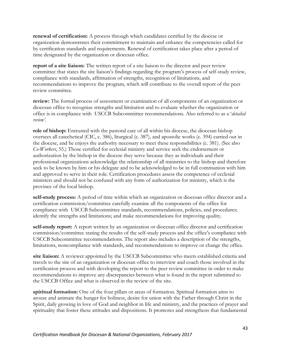**renewal of certification:** A process through which candidates certified by the diocese or organization demonstrates their commitment to maintain and enhance the competencies called for by certification standards and requirements. Renewal of certification takes place after a period of time designated by the organization or diocesan office.

**report of a site liaison:** The written report of a site liaison to the director and peer review committee that states the site liaison's findings regarding the program's process of self-study review, compliance with standards, affirmation of strengths, recognition of limitations, and recommendations to improve the program, which will contribute to the overall report of the peer review committee.

**review:** The formal process of assessment or examination of all components of an organization or diocesan office to recognize strengths and limitation and to evaluate whether the organization or office is in compliance with USCCB Subcommittee recommendations. Also referred to as a '*detailed review'*.

**role of bishop:** Entrusted with the pastoral care of all within his diocese, the diocesan bishop oversees all catechetical (CIC, c. 386), liturgical (c. 387), and apostolic works (c. 394) carried out in the diocese, and he enjoys the authority necessary to meet these responsibilities (c. 381). (See also *Co-Workers*, 55.) Those certified for ecclesial ministry and service seek the endorsement or authorization by the bishop in the diocese they serve because they as individuals and their professional organizations acknowledge the relationship of all ministries to the bishop and therefore seek to be known by him or his delegate and to be acknowledged to be in full communion with him and approved to serve in their role. Certification procedures assess the competence of ecclesial ministers and should not be confused with any form of authorization for ministry, which is the province of the local bishop.

**self-study process:** A period of time within which an organization or diocesan office director and a certification commission/committee carefully examine all the components of the office for compliance with USCCB Subcommittee standards, recommendations, policies, and procedures; identify the strengths and limitations; and make recommendations for improving quality.

**self-study report:** A report written by an organization or diocesan office director and certification commission/committee stating the results of the self-study process and the office's compliance with USCCB Subcommittee recommendations. The report also includes a description of the strengths, limitations, noncompliance with standards, and recommendations to improve or change the office.

**site liaison:** A reviewer appointed by the USCCB Subcommittee who meets established criteria and travels to the site of an organization or diocesan office to interview and coach those involved in the certification process and with developing the report to the peer review committee in order to make recommendations to improve any discrepancies between what is found in the report submitted to the USCCB Office and what is observed in the review of the site.

**spiritual formation:** One of the four pillars or areas of formation. Spiritual formation aims to arouse and animate the hunger for holiness, desire for union with the Father through Christ in the Spirit, daily growing in love of God and neighbor in life and ministry, and the practices of prayer and spirituality that foster these attitudes and dispositions. It promotes and strengthens that fundamental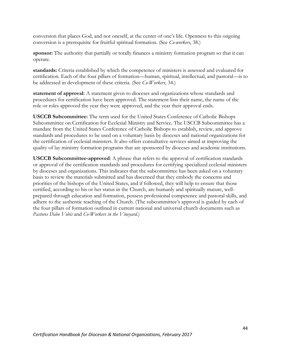conversion that places God, and not oneself, at the center of one's life. Openness to this ongoing conversion is a prerequisite for fruitful spiritual formation. (See *Co-workers*, 38.)

**sponsor:** The authority that partially or totally finances a ministry formation program so that it can operate.

**standards:** Criteria established by which the competence of ministers is assessed and evaluated for certification. Each of the four pillars of formation—human, spiritual, intellectual, and pastoral—is to be addressed in development of these criteria. (See *Co-Workers*, 34.)

statement of approval: A statement given to dioceses and organizations whose standards and procedures for certification have been approved. The statement lists their name, the name of the role or roles approved the year they were approved, and the year their approval ends.

**USCCB Subcommittee:** The term used for the United States Conference of Catholic Bishops Subcommittee on Certification for Ecclesial Ministry and Service. The USCCB Subcommittee has a mandate from the United States Conference of Catholic Bishops to establish, review, and approve standards and procedures to be used on a voluntary basis by dioceses and national organizations for the certification of ecclesial ministers. It also offers consultative services aimed at improving the quality of lay ministry formation programs that are sponsored by dioceses and academic institutions.

**USCCB Subcommittee-approved**: A phrase that refers to the approval of certification standards or approval of the certification standards and procedures for certifying specialized ecclesial ministers by dioceses and organizations. This indicates that the subcommittee has been asked on a voluntary basis to review the materials submitted and has discerned that they embody the concerns and priorities of the bishops of the United States, and if followed, they will help to ensure that those certified, according to his or her status in the Church, are humanly and spiritually mature, wellprepared through education and formation, possess professional competence and pastoral skills, and adhere to the authentic teaching of the Church. (The subcommittee's approval is guided by each of the four pillars of formation outlined in current national and universal church documents such as *Pastores Dabo Vobis* and *Co-Workers in the Vineyard.*)